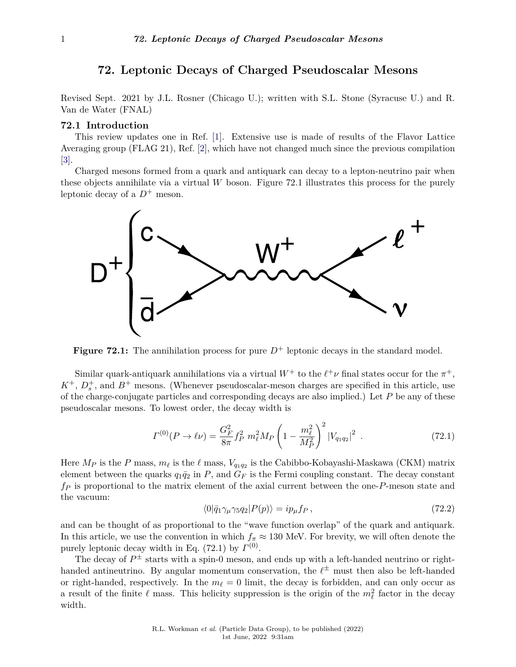# **72. Leptonic Decays of Charged Pseudoscalar Mesons**

<span id="page-0-0"></span>Revised Sept. 2021 by J.L. Rosner (Chicago U.); written with S.L. Stone (Syracuse U.) and R. Van de Water (FNAL)

## **72.1 Introduction**

This review updates one in Ref. [\[1\]](#page-16-0). Extensive use is made of results of the Flavor Lattice Averaging group (FLAG 21), Ref. [\[2\]](#page-16-1), which have not changed much since the previous compilation  $|3|$ .

Charged mesons formed from a quark and antiquark can decay to a lepton-neutrino pair when these objects annihilate via a virtual *W* boson. Figure 72.1 illustrates this process for the purely leptonic decay of a  $D^+$  meson.



**Figure 72.1:** The annihilation process for pure  $D^+$  leptonic decays in the standard model.

Similar quark-antiquark annihilations via a virtual  $W^+$  to the  $\ell^+\nu$  final states occur for the  $\pi^+,$  $K^+$ ,  $D_s^+$ , and  $B^+$  mesons. (Whenever pseudoscalar-meson charges are specified in this article, use of the charge-conjugate particles and corresponding decays are also implied.) Let *P* be any of these pseudoscalar mesons. To lowest order, the decay width is

$$
\Gamma^{(0)}(P \to \ell \nu) = \frac{G_F^2}{8\pi} f_P^2 m_\ell^2 M_P \left(1 - \frac{m_\ell^2}{M_P^2}\right)^2 |V_{q_1 q_2}|^2 \tag{72.1}
$$

Here  $M_P$  is the *P* mass,  $m_\ell$  is the  $\ell$  mass,  $V_{q_1q_2}$  is the Cabibbo-Kobayashi-Maskawa (CKM) matrix element between the quarks  $q_1\bar{q}_2$  in *P*, and  $G_F$  is the Fermi coupling constant. The decay constant *f<sup>P</sup>* is proportional to the matrix element of the axial current between the one-*P*-meson state and the vacuum:

$$
\langle 0|\bar{q}_1\gamma_\mu\gamma_5 q_2|P(p)\rangle = ip_\mu f_P\,,\tag{72.2}
$$

and can be thought of as proportional to the "wave function overlap" of the quark and antiquark. In this article, we use the convention in which  $f_\pi \approx 130$  MeV. For brevity, we will often denote the purely leptonic decay width in Eq.  $(72.1)$  by  $\Gamma^{(0)}$ .

The decay of  $P^{\pm}$  starts with a spin-0 meson, and ends up with a left-handed neutrino or righthanded antineutrino. By angular momentum conservation, the  $\ell^{\pm}$  must then also be left-handed or right-handed, respectively. In the  $m_\ell = 0$  limit, the decay is forbidden, and can only occur as a result of the finite  $\ell$  mass. This helicity suppression is the origin of the  $m_{\ell}^2$  factor in the decay width.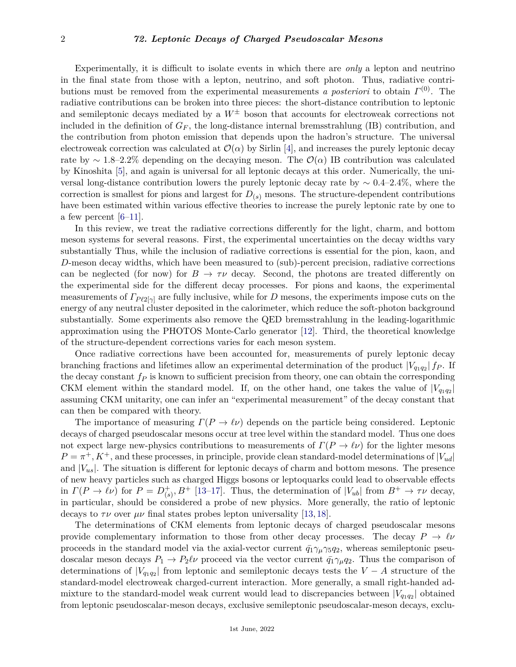Experimentally, it is difficult to isolate events in which there are *only* a lepton and neutrino in the final state from those with a lepton, neutrino, and soft photon. Thus, radiative contributions must be removed from the experimental measurements *a posteriori* to obtain *Γ* (0). The radiative contributions can be broken into three pieces: the short-distance contribution to leptonic and semileptonic decays mediated by a  $W^{\pm}$  boson that accounts for electroweak corrections not included in the definition of  $G_F$ , the long-distance internal bremsstrahlung (IB) contribution, and the contribution from photon emission that depends upon the hadron's structure. The universal electroweak correction was calculated at  $\mathcal{O}(\alpha)$  by Sirlin [\[4\]](#page-16-3), and increases the purely leptonic decay rate by ∼ 1*.*8–2.2% depending on the decaying meson. The O(*α*) IB contribution was calculated by Kinoshita [\[5\]](#page-16-4), and again is universal for all leptonic decays at this order. Numerically, the universal long-distance contribution lowers the purely leptonic decay rate by ∼ 0*.*4–2.4%, where the correction is smallest for pions and largest for  $D_{(s)}$  mesons. The structure-dependent contributions have been estimated within various effective theories to increase the purely leptonic rate by one to a few percent  $[6-11]$  $[6-11]$ .

In this review, we treat the radiative corrections differently for the light, charm, and bottom meson systems for several reasons. First, the experimental uncertainties on the decay widths vary substantially Thus, while the inclusion of radiative corrections is essential for the pion, kaon, and *D*-meson decay widths, which have been measured to (sub)-percent precision, radiative corrections can be neglected (for now) for  $B \to \tau \nu$  decay. Second, the photons are treated differently on the experimental side for the different decay processes. For pions and kaons, the experimental measurements of  $\Gamma_{P\ell 2[\gamma]}$  are fully inclusive, while for *D* mesons, the experiments impose cuts on the energy of any neutral cluster deposited in the calorimeter, which reduce the soft-photon background substantially. Some experiments also remove the QED bremsstrahlung in the leading-logarithmic approximation using the PHOTOS Monte-Carlo generator [\[12\]](#page-16-7). Third, the theoretical knowledge of the structure-dependent corrections varies for each meson system.

Once radiative corrections have been accounted for, measurements of purely leptonic decay branching fractions and lifetimes allow an experimental determination of the product  $|V_{q_1q_2}| f_P$ . If the decay constant *f<sup>P</sup>* is known to sufficient precision from theory, one can obtain the corresponding CKM element within the standard model. If, on the other hand, one takes the value of  $|V_{q_1q_2}|$ assuming CKM unitarity, one can infer an "experimental measurement" of the decay constant that can then be compared with theory.

The importance of measuring  $\Gamma(P \to \ell \nu)$  depends on the particle being considered. Leptonic decays of charged pseudoscalar mesons occur at tree level within the standard model. Thus one does not expect large new-physics contributions to measurements of  $\Gamma(P \to \ell \nu)$  for the lighter mesons  $P = \pi^+, K^+,$  and these processes, in principle, provide clean standard-model determinations of  $|V_{ud}|$ and  $|V_{us}|$ . The situation is different for leptonic decays of charm and bottom mesons. The presence of new heavy particles such as charged Higgs bosons or leptoquarks could lead to observable effects in  $\Gamma(P \to \ell \nu)$  for  $P = D_{\ell}^+$  $\binom{+}{(s)}$ ,  $B^+$  [\[13](#page-16-8)[–17\]](#page-16-9). Thus, the determination of  $|V_{ub}|$  from  $B^+ \to \tau \nu$  decay, in particular, should be considered a probe of new physics. More generally, the ratio of leptonic decays to  $\tau \nu$  over  $\mu \nu$  final states probes lepton universality [\[13,](#page-16-8) [18\]](#page-16-10).

The determinations of CKM elements from leptonic decays of charged pseudoscalar mesons provide complementary information to those from other decay processes. The decay  $P \to \ell \nu$ proceeds in the standard model via the axial-vector current  $\bar{q}_1 \gamma_\mu \gamma_5 q_2$ , whereas semileptonic pseudoscalar meson decays  $P_1 \to P_2\ell\nu$  proceed via the vector current  $\bar{q}_1\gamma_\mu q_2$ . Thus the comparison of determinations of  $|V_{q_1q_2}|$  from leptonic and semileptonic decays tests the  $V - A$  structure of the standard-model electroweak charged-current interaction. More generally, a small right-handed admixture to the standard-model weak current would lead to discrepancies between  $|V_{q_1q_2}|$  obtained from leptonic pseudoscalar-meson decays, exclusive semileptonic pseudoscalar-meson decays, exclu-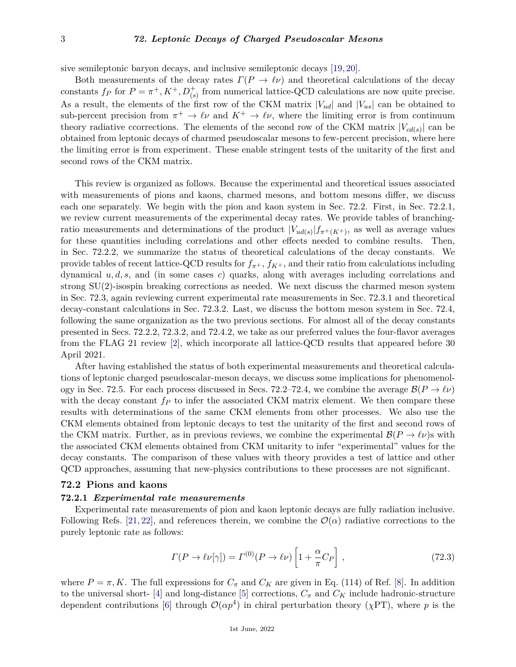### 3 *72. Leptonic Decays of Charged Pseudoscalar Mesons*

sive semileptonic baryon decays, and inclusive semileptonic decays [\[19,](#page-16-11) [20\]](#page-16-12).

Both measurements of the decay rates  $\Gamma(P \to \ell \nu)$  and theoretical calculations of the decay constants  $f_P$  for  $P = \pi^+, K^+, D^+_{(s)}$  from numerical lattice-QCD calculations are now quite precise. As a result, the elements of the first row of the CKM matrix |*Vud*| and |*Vus*| can be obtained to sub-percent precision from  $\pi^+ \to \ell \nu$  and  $K^+ \to \ell \nu$ , where the limiting error is from continuum theory radiative ccorrections. The elements of the second row of the CKM matrix  $|V_{cd(s)}|$  can be obtained from leptonic decays of charmed pseudoscalar mesons to few-percent precision, where here the limiting error is from experiment. These enable stringent tests of the unitarity of the first and second rows of the CKM matrix.

This review is organized as follows. Because the experimental and theoretical issues associated with measurements of pions and kaons, charmed mesons, and bottom mesons differ, we discuss each one separately. We begin with the pion and kaon system in Sec. 72.2. First, in Sec. 72.2.1, we review current measurements of the experimental decay rates. We provide tables of branchingratio measurements and determinations of the product  $|V_{ud(s)}|_{\mathcal{f}_{\pi^+(K^+)}}$ , as well as average values for these quantities including correlations and other effects needed to combine results. Then, in Sec. 72.2.2, we summarize the status of theoretical calculations of the decay constants. We provide tables of recent lattice-QCD results for  $f_{\pi^+}$ ,  $f_{K^+}$ , and their ratio from calculations including dynamical *u, d, s,* and (in some cases *c*) quarks, along with averages including correlations and strong SU(2)-isospin breaking corrections as needed. We next discuss the charmed meson system in Sec. 72.3, again reviewing current experimental rate measurements in Sec. 72.3.1 and theoretical decay-constant calculations in Sec. 72.3.2. Last, we discuss the bottom meson system in Sec. 72.4, following the same organization as the two previous sections. For almost all of the decay constants presented in Secs. 72.2.2, 72.3.2, and 72.4.2, we take as our preferred values the four-flavor averages from the FLAG 21 review [\[2\]](#page-16-1), which incorporate all lattice-QCD results that appeared before 30 April 2021.

After having established the status of both experimental measurements and theoretical calculations of leptonic charged pseudoscalar-meson decays, we discuss some implications for phenomenology in Sec. 72.5. For each process discussed in Secs. 72.2–72.4, we combine the average  $\mathcal{B}(P \to \ell \nu)$ with the decay constant  $f<sub>P</sub>$  to infer the associated CKM matrix element. We then compare these results with determinations of the same CKM elements from other processes. We also use the CKM elements obtained from leptonic decays to test the unitarity of the first and second rows of the CKM matrix. Further, as in previous reviews, we combine the experimental  $\mathcal{B}(P \to \ell \nu)$ s with the associated CKM elements obtained from CKM unitarity to infer "experimental" values for the decay constants. The comparison of these values with theory provides a test of lattice and other QCD approaches, assuming that new-physics contributions to these processes are not significant.

## **72.2 Pions and kaons**

### **72.2.1** *Experimental rate measurements*

Experimental rate measurements of pion and kaon leptonic decays are fully radiation inclusive. Following Refs. [\[21,](#page-17-0) [22\]](#page-17-1), and references therein, we combine the  $\mathcal{O}(\alpha)$  radiative corrections to the purely leptonic rate as follows:

$$
\Gamma(P \to \ell \nu[\gamma]) = \Gamma^{(0)}(P \to \ell \nu) \left[1 + \frac{\alpha}{\pi} C_P\right],\tag{72.3}
$$

where  $P = \pi, K$ . The full expressions for  $C_{\pi}$  and  $C_{K}$  are given in Eq. (114) of Ref. [\[8\]](#page-16-13). In addition to the universal short- [\[4\]](#page-16-3) and long-distance [\[5\]](#page-16-4) corrections,  $C_{\pi}$  and  $C_{K}$  include hadronic-structure dependent contributions [\[6\]](#page-16-5) through  $\mathcal{O}(\alpha p^4)$  in chiral perturbation theory (*χPT*), where *p* is the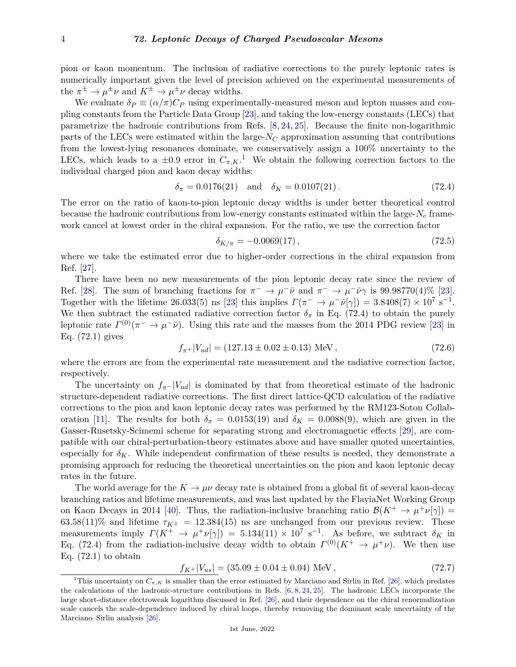pion or kaon momentum. The inclusion of radiative corrections to the purely leptonic rates is numerically important given the level of precision achieved on the experimental measurements of the  $\pi^{\pm} \to \mu^{\pm} \nu$  and  $K^{\pm} \to \mu^{\pm} \nu$  decay widths.

We evaluate  $\delta_P \equiv (\alpha/\pi)C_P$  using experimentally-measured meson and lepton masses and coupling constants from the Particle Data Group [\[23\]](#page-17-2), and taking the low-energy constants (LECs) that parametrize the hadronic contributions from Refs. [\[8,](#page-16-13) [24,](#page-17-3) [25\]](#page-17-4). Because the finite non-logarithmic parts of the LECs were estimated within the large- $N_C$  approximation assuming that contributions from the lowest-lying resonances dominate, we conservatively assign a 100% uncertainty to the LECs, which leads to a  $\pm 0.9$  error in  $C_{\pi,K}$ .<sup>[1](#page-3-0)</sup> We obtain the following correction factors to the individual charged pion and kaon decay widths:

$$
\delta_{\pi} = 0.0176(21) \quad \text{and} \quad \delta_K = 0.0107(21). \tag{72.4}
$$

The error on the ratio of kaon-to-pion leptonic decay widths is under better theoretical control because the hadronic contributions from low-energy constants estimated within the large-*N<sup>c</sup>* framework cancel at lowest order in the chiral expansion. For the ratio, we use the correction factor

$$
\delta_{K/\pi} = -0.0069(17),\tag{72.5}
$$

where we take the estimated error due to higher-order corrections in the chiral expansion from Ref. [\[27\]](#page-17-5).

There have been no new measurements of the pion leptonic decay rate since the review of Ref. [\[28\]](#page-17-6). The sum of branching fractions for  $\pi^- \to \mu^- \bar{\nu}$  and  $\pi^- \to \mu^- \bar{\nu} \gamma$  is 99.98770(4)% [\[23\]](#page-17-2). Together with the lifetime 26.033(5) ns [\[23\]](#page-17-2) this implies  $\Gamma(\pi^- \to \mu^- \bar{\nu}[\gamma]) = 3.8408(7) \times 10^7 \text{ s}^{-1}$ . We then subtract the estimated radiative correction factor  $\delta_{\pi}$  in Eq. (72.4) to obtain the purely leptonic rate  $\Gamma^{(0)}(\pi^- \to \mu^- \bar{\nu})$ . Using this rate and the masses from the 2014 PDG review [\[23\]](#page-17-2) in Eq. (72.1) gives

$$
f_{\pi^+}|V_{ud}| = (127.13 \pm 0.02 \pm 0.13) \text{ MeV},\tag{72.6}
$$

where the errors are from the experimental rate measurement and the radiative correction factor, respectively.

The uncertainty on  $f_{\pi^-}$  |*V*<sub>*ud*</sub>| is dominated by that from theoretical estimate of the hadronic structure-dependent radiative corrections. The first direct lattice-QCD calculation of the radiative corrections to the pion and kaon leptonic decay rates was performed by the RM123-Soton Collab-oration [\[11\]](#page-16-6). The results for both  $\delta_{\pi} = 0.0153(19)$  and  $\delta_{K} = 0.0088(9)$ , which are given in the Gasser-Rusetsky-Scimemi scheme for separating strong and electromagnetic effects [\[29\]](#page-17-7), are compatible with our chiral-perturbation-theory estimates above and have smaller quoted uncertainties, especially for  $\delta_K$ . While independent confirmation of these results is needed, they demonstrate a promising approach for reducing the theoretical uncertainties on the pion and kaon leptonic decay rates in the future.

The world average for the  $K \to \mu\nu$  decay rate is obtained from a global fit of several kaon-decay branching ratios and lifetime measurements, and was last updated by the FlaviaNet Working Group on Kaon Decays in 2014 [\[40\]](#page-17-8). Thus, the radiation-inclusive branching ratio  $\mathcal{B}(K^+ \to \mu^+ \nu[\gamma]) =$  $63.58(11)\%$  and lifetime  $\tau_{K^{\pm}} = 12.384(15)$  ns are unchanged from our previous review. These measurements imply  $\Gamma(K^+ \to \mu^+ \nu[\gamma]) = 5.134(11) \times 10^7 \text{ s}^{-1}$ . As before, we subtract  $\delta_K$  in Eq. (72.4) from the radiation-inclusive decay width to obtain  $\Gamma^{(0)}(K^+ \to \mu^+ \nu)$ . We then use Eq.  $(72.1)$  to obtain

$$
f_{K^{+}}|V_{us}| = (35.09 \pm 0.04 \pm 0.04) \text{ MeV},\tag{72.7}
$$

<span id="page-3-0"></span><sup>&</sup>lt;sup>1</sup>This uncertainty on  $C_{\pi,K}$  is smaller than the error estimated by Marciano and Sirlin in Ref. [\[26\]](#page-17-9), which predates the calculations of the hadronic-structure contributions in Refs. [\[6,](#page-16-5) [8,](#page-16-13) [24,](#page-17-3) [25\]](#page-17-4). The hadronic LECs incorporate the large short-distance electroweak logarithm discussed in Ref. [\[26\]](#page-17-9), and their dependence on the chiral renormalization scale cancels the scale-dependence induced by chiral loops, thereby removing the dominant scale uncertainty of the Marciano–Sirlin analysis [\[26\]](#page-17-9).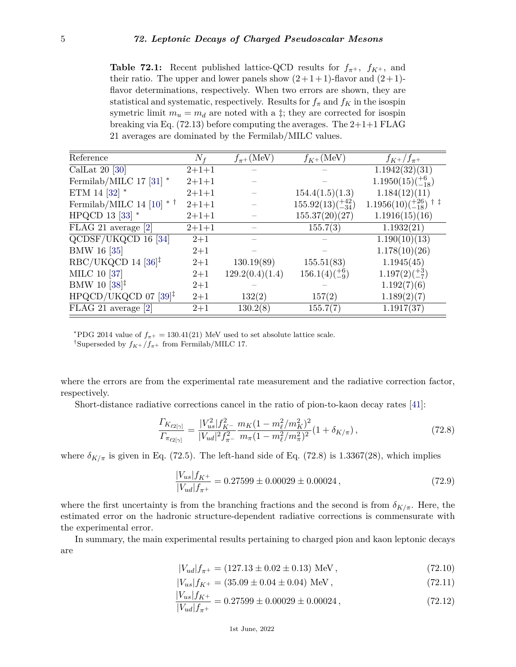**Table 72.1:** Recent published lattice-QCD results for  $f_{\pi^+}$ ,  $f_{K^+}$ , and their ratio. The upper and lower panels show  $(2+1+1)$ -flavor and  $(2+1)$ flavor determinations, respectively. When two errors are shown, they are statistical and systematic, respectively. Results for  $f_{\pi}$  and  $f_K$  in the isospin symetric limit  $m_u = m_d$  are noted with a  $\ddagger$ ; they are corrected for isospin breaking via Eq.  $(72.13)$  before computing the averages. The  $2+1+1$  FLAG 21 averages are dominated by the Fermilab/MILC values.

| Reference                                            | $N_f$       | $f_{\pi^+}$ (MeV) | $f_{K^+}$ (MeV)               | $f_{K^+}/f_{\pi^+}$             |
|------------------------------------------------------|-------------|-------------------|-------------------------------|---------------------------------|
| CalLat 20 $[30]$                                     | $2 + 1 + 1$ |                   |                               | 1.1942(32)(31)                  |
| Fermilab/MILC 17 $[31]$ $^{\ast}$                    | $2 + 1 + 1$ |                   |                               | $1.1950(15)(\frac{+6}{-18})$    |
| ETM 14 [32] $*$                                      | $2 + 1 + 1$ |                   | 154.4(1.5)(1.3)               | 1.184(12)(11)                   |
| Fermilab/MILC 14 [10] $*$ †                          | $2 + 1 + 1$ |                   | $155.92(13)(\frac{+42}{-34})$ | $1.1956(10)(^{+26}_{-18})$ † ‡  |
| HPQCD 13 [33] $*$                                    | $2 + 1 + 1$ |                   | 155.37(20)(27)                | 1.1916(15)(16)                  |
| FLAG 21 average [2]                                  | $2 + 1 + 1$ |                   | 155.7(3)                      | 1.1932(21)                      |
| QCDSF/UKQCD 16 [34]                                  | $2 + 1$     |                   |                               | 1.190(10)(13)                   |
| <b>BMW 16 [35]</b>                                   | $2 + 1$     |                   |                               | 1.178(10)(26)                   |
| $RBC/UKQCD$ 14 [36] <sup><math>\ddagger</math></sup> | $2 + 1$     | 130.19(89)        | 155.51(83)                    | 1.1945(45)                      |
| MILC 10 [37]                                         | $2+1$       | 129.2(0.4)(1.4)   | $156.1(4)(\frac{+6}{-9})$     | $1.197(2)(\substack{+3 \\ -7})$ |
| BMW 10 $[38]$ <sup>‡</sup>                           | $2 + 1$     |                   |                               | 1.192(7)(6)                     |
| $HPQCD/UKQCD$ 07 [39] <sup>‡</sup>                   | $2 + 1$     | 132(2)            | 157(2)                        | 1.189(2)(7)                     |
| FLAG 21 average [2]                                  | $2 + 1$     | 130.2(8)          | 155.7(7)                      | 1.1917(37)                      |

<sup>\*</sup>PDG 2014 value of  $f_{\pi^+} = 130.41(21)$  MeV used to set absolute lattice scale.

<sup>†</sup>Superseded by  $f_{K^+}/f_{\pi^+}$  from Fermilab/MILC 17.

where the errors are from the experimental rate measurement and the radiative correction factor, respectively.

Short-distance radiative corrections cancel in the ratio of pion-to-kaon decay rates [\[41\]](#page-17-20):

$$
\frac{\Gamma_{K_{\ell2[\gamma]}}}{\Gamma_{\pi_{\ell2[\gamma]}}} = \frac{|V_{us}^2|f_{K^-}^2}{|V_{ud}|^2 f_{\pi^-}^2} \frac{m_K (1 - m_\ell^2/m_K^2)^2}{m_\pi (1 - m_\ell^2/m_\pi^2)^2} (1 + \delta_{K/\pi}),
$$
\n(72.8)

where  $\delta_{K/\pi}$  is given in Eq. (72.5). The left-hand side of Eq. (72.8) is 1.3367(28), which implies

$$
\frac{|V_{us}|f_{K^+}}{|V_{ud}|f_{\pi^+}} = 0.27599 \pm 0.00029 \pm 0.00024 ,\qquad(72.9)
$$

where the first uncertainty is from the branching fractions and the second is from  $\delta_{K/\pi}$ . Here, the estimated error on the hadronic structure-dependent radiative corrections is commensurate with the experimental error.

In summary, the main experimental results pertaining to charged pion and kaon leptonic decays are

$$
|V_{ud}|f_{\pi^+} = (127.13 \pm 0.02 \pm 0.13) \text{ MeV},\tag{72.10}
$$

$$
|V_{us}|f_{K^+} = (35.09 \pm 0.04 \pm 0.04) \text{ MeV},\tag{72.11}
$$

$$
\frac{|V_{us}|f_{K^+}}{|V_{ud}|f_{\pi^+}} = 0.27599 \pm 0.00029 \pm 0.00024, \qquad (72.12)
$$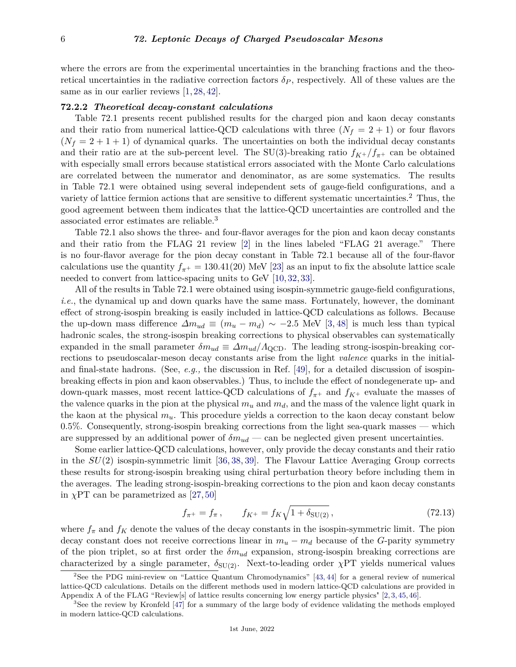### 6 *72. Leptonic Decays of Charged Pseudoscalar Mesons*

where the errors are from the experimental uncertainties in the branching fractions and the theoretical uncertainties in the radiative correction factors  $\delta_P$ , respectively. All of these values are the same as in our earlier reviews  $[1, 28, 42]$  $[1, 28, 42]$  $[1, 28, 42]$  $[1, 28, 42]$  $[1, 28, 42]$ .

#### **72.2.2** *Theoretical decay-constant calculations*

Table 72.1 presents recent published results for the charged pion and kaon decay constants and their ratio from numerical lattice-QCD calculations with three  $(N_f = 2 + 1)$  or four flavors  $(N_f = 2 + 1 + 1)$  of dynamical quarks. The uncertainties on both the individual decay constants and their ratio are at the sub-percent level. The SU(3)-breaking ratio  $f_{K^+}/f_{\pi^+}$  can be obtained with especially small errors because statistical errors associated with the Monte Carlo calculations are correlated between the numerator and denominator, as are some systematics. The results in Table 72.1 were obtained using several independent sets of gauge-field configurations, and a variety of lattice fermion actions that are sensitive to different systematic uncertainties.[2](#page-5-0) Thus, the good agreement between them indicates that the lattice-QCD uncertainties are controlled and the associated error estimates are reliable.[3](#page-5-1)

Table 72.1 also shows the three- and four-flavor averages for the pion and kaon decay constants and their ratio from the FLAG 21 review [\[2\]](#page-16-1) in the lines labeled "FLAG 21 average." There is no four-flavor average for the pion decay constant in Table 72.1 because all of the four-flavor calculations use the quantity  $f_{\pi^+} = 130.41(20)$  MeV [\[23\]](#page-17-2) as an input to fix the absolute lattice scale needed to convert from lattice-spacing units to GeV [\[10,](#page-16-14) [32,](#page-17-12) [33\]](#page-17-13).

All of the results in Table 72.1 were obtained using isospin-symmetric gauge-field configurations, *i.e.*, the dynamical up and down quarks have the same mass. Fortunately, however, the dominant effect of strong-isospin breaking is easily included in lattice-QCD calculations as follows. Because the up-down mass difference  $\Delta m_{ud} \equiv (m_u - m_d) \sim -2.5$  MeV [\[3,](#page-16-2) [48\]](#page-17-22) is much less than typical hadronic scales, the strong-isospin breaking corrections to physical observables can systematically expanded in the small parameter  $\delta m_{ud} \equiv \Delta m_{ud} / \Lambda_{\rm QCD}$ . The leading strong-isospin-breaking corrections to pseudoscalar-meson decay constants arise from the light *valence* quarks in the initialand final-state hadrons. (See, *e.g.,* the discussion in Ref. [\[49\]](#page-17-23), for a detailed discussion of isospinbreaking effects in pion and kaon observables.) Thus, to include the effect of nondegenerate up- and down-quark masses, most recent lattice-QCD calculations of  $f_{\pi^+}$  and  $f_{K^+}$  evaluate the masses of the valence quarks in the pion at the physical  $m_u$  and  $m_d$ , and the mass of the valence light quark in the kaon at the physical *mu*. This procedure yields a correction to the kaon decay constant below 0*.*5%. Consequently, strong-isospin breaking corrections from the light sea-quark masses — which are suppressed by an additional power of  $\delta m_{ud}$  — can be neglected given present uncertainties.

Some earlier lattice-QCD calculations, however, only provide the decay constants and their ratio in the *SU*(2) isospin-symmetric limit [\[36,](#page-17-16) [38,](#page-17-18) [39\]](#page-17-19). The Flavour Lattice Averaging Group corrects these results for strong-isospin breaking using chiral perturbation theory before including them in the averages. The leading strong-isospin-breaking corrections to the pion and kaon decay constants in  $\chi$ PT can be parametrized as [\[27,](#page-17-5) [50\]](#page-17-24)

$$
f_{\pi^+} = f_{\pi} \,, \qquad f_{K^+} = f_K \sqrt{1 + \delta_{\text{SU}(2)}} \,, \tag{72.13}
$$

where  $f_{\pi}$  and  $f_K$  denote the values of the decay constants in the isospin-symmetric limit. The pion decay constant does not receive corrections linear in  $m_u - m_d$  because of the *G*-parity symmetry of the pion triplet, so at first order the *δmud* expansion, strong-isospin breaking corrections are characterized by a single parameter,  $\delta_{SU(2)}$ . Next-to-leading order *χPT* yields numerical values

<span id="page-5-0"></span> $2$ See the PDG mini-review on "Lattice Quantum Chromodynamics" [\[43,](#page-17-25) [44\]](#page-17-26) for a general review of numerical lattice-QCD calculations. Details on the different methods used in modern lattice-QCD calculations are provided in Appendix A of the FLAG "Review[s] of lattice results concerning low energy particle physics" [\[2,](#page-16-1) [3,](#page-16-2) [45,](#page-17-27) [46\]](#page-17-28).

<span id="page-5-1"></span><sup>&</sup>lt;sup>3</sup>See the review by Kronfeld [\[47\]](#page-17-29) for a summary of the large body of evidence validating the methods employed in modern lattice-QCD calculations.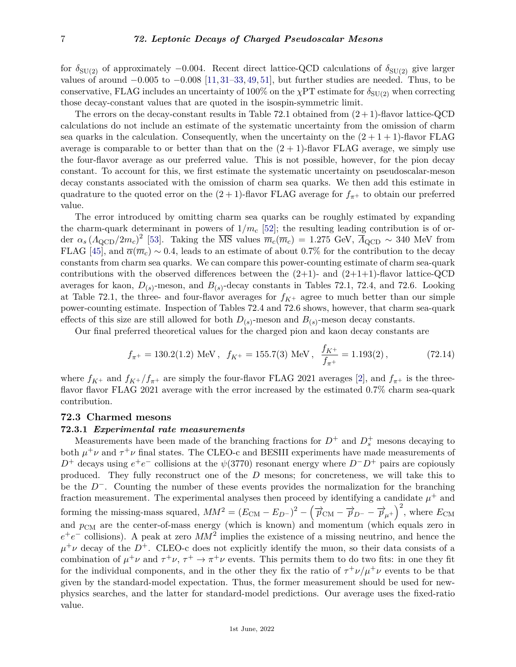for  $\delta_{\text{SU(2)}}$  of approximately −0.004. Recent direct lattice-QCD calculations of  $\delta_{\text{SU(2)}}$  give larger values of around −0*.*005 to −0*.*008 [\[11,](#page-16-6) [31](#page-17-11)[–33,](#page-17-13) [49,](#page-17-23) [51\]](#page-17-30), but further studies are needed. Thus, to be conservative, FLAG includes an uncertainty of 100% on the  $\chi PT$  estimate for  $\delta_{SU(2)}$  when correcting those decay-constant values that are quoted in the isospin-symmetric limit.

The errors on the decay-constant results in Table 72.1 obtained from  $(2 + 1)$ -flavor lattice-QCD calculations do not include an estimate of the systematic uncertainty from the omission of charm sea quarks in the calculation. Consequently, when the uncertainty on the  $(2 + 1 + 1)$ -flavor FLAG average is comparable to or better than that on the  $(2 + 1)$ -flavor FLAG average, we simply use the four-flavor average as our preferred value. This is not possible, however, for the pion decay constant. To account for this, we first estimate the systematic uncertainty on pseudoscalar-meson decay constants associated with the omission of charm sea quarks. We then add this estimate in quadrature to the quoted error on the  $(2 + 1)$ -flavor FLAG average for  $f_{\pi^+}$  to obtain our preferred value.

The error introduced by omitting charm sea quarks can be roughly estimated by expanding the charm-quark determinant in powers of  $1/m_c$  [\[52\]](#page-18-0); the resulting leading contribution is of order  $\alpha_s (A_{\rm QCD}/2m_c)^2$  [\[53\]](#page-18-1). Taking the  $\overline{\text{MS}}$  values  $\overline{m}_c(\overline{m}_c) = 1.275 \text{ GeV}, \overline{A}_{\rm QCD} \sim 340 \text{ MeV}$  from FLAG [\[45\]](#page-17-27), and  $\overline{\alpha}(\overline{m}_c) \sim 0.4$ , leads to an estimate of about 0.7% for the contribution to the decay constants from charm sea quarks. We can compare this power-counting estimate of charm sea-quark contributions with the observed differences between the  $(2+1)$ - and  $(2+1+1)$ -flavor lattice-QCD averages for kaon,  $D_{(s)}$ -meson, and  $B_{(s)}$ -decay constants in Tables 72.1, 72.4, and 72.6. Looking at Table 72.1, the three- and four-flavor averages for  $f_{K^+}$  agree to much better than our simple power-counting estimate. Inspection of Tables 72.4 and 72.6 shows, however, that charm sea-quark effects of this size are still allowed for both  $D_{(s)}$ -meson and  $B_{(s)}$ -meson decay constants.

Our final preferred theoretical values for the charged pion and kaon decay constants are

$$
f_{\pi^+} = 130.2(1.2)
$$
 MeV,  $f_{K^+} = 155.7(3)$  MeV,  $\frac{f_{K^+}}{f_{\pi^+}} = 1.193(2)$ , (72.14)

where  $f_{K^+}$  and  $f_{K^+}/f_{\pi^+}$  are simply the four-flavor FLAG 2021 averages [\[2\]](#page-16-1), and  $f_{\pi^+}$  is the threeflavor flavor FLAG 2021 average with the error increased by the estimated 0.7% charm sea-quark contribution.

## **72.3 Charmed mesons**

## **72.3.1** *Experimental rate measurements*

Measurements have been made of the branching fractions for  $D^+$  and  $D_s^+$  mesons decaying to both  $\mu^+\nu$  and  $\tau^+\nu$  final states. The CLEO-c and BESIII experiments have made measurements of *D*<sup>+</sup> decays using  $e^+e^-$  collisions at the  $ψ(3770)$  resonant energy where *D*<sup>−</sup>*D*<sup>+</sup> pairs are copiously produced. They fully reconstruct one of the *D* mesons; for concreteness, we will take this to be the *D*−. Counting the number of these events provides the normalization for the branching fraction measurement. The experimental analyses then proceed by identifying a candidate  $\mu^+$  and forming the missing-mass squared,  $MM^2 = (E_{\text{CM}} - E_{D-})^2 - (\overrightarrow{p}_{\text{CM}} - \overrightarrow{p}_{D-} - \overrightarrow{p}_{\mu^+})^2$ , where  $E_{\text{CM}}$ and  $p_{CM}$  are the center-of-mass energy (which is known) and momentum (which equals zero in  $e^+e^-$  collisions). A peak at zero  $MM^2$  implies the existence of a missing neutrino, and hence the  $\mu^+\nu$  decay of the *D*<sup>+</sup>. CLEO-c does not explicitly identify the muon, so their data consists of a combination of  $\mu^+\nu$  and  $\tau^+\nu$ ,  $\tau^+\to\pi^+\nu$  events. This permits them to do two fits: in one they fit for the individual components, and in the other they fix the ratio of  $\tau^+ \nu / \mu^+ \nu$  events to be that given by the standard-model expectation. Thus, the former measurement should be used for newphysics searches, and the latter for standard-model predictions. Our average uses the fixed-ratio value.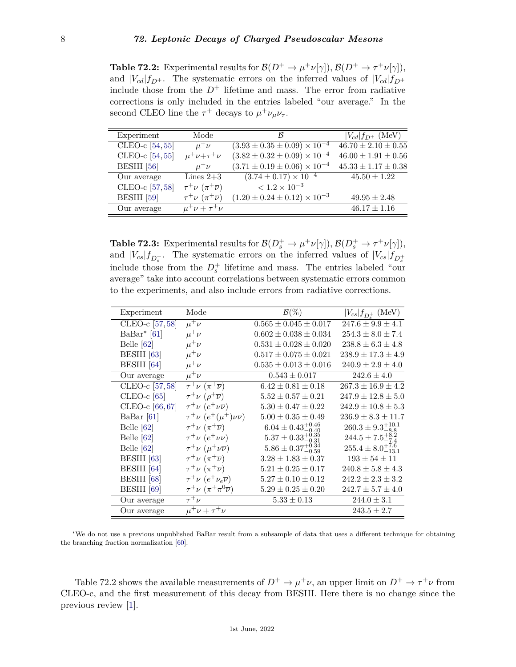**Table 72.2:** Experimental results for  $\mathcal{B}(D^+ \to \mu^+ \nu[\gamma])$ ,  $\mathcal{B}(D^+ \to \tau^+ \nu[\gamma])$ , and  $|V_{cd}|f_{D^+}$ . The systematic errors on the inferred values of  $|V_{cd}|f_{D^+}$ include those from the  $D^+$  lifetime and mass. The error from radiative corrections is only included in the entries labeled "our average." In the second CLEO line the  $\tau^+$  decays to  $\mu^+ \nu_\mu \bar{\nu}_\tau$ .

| Experiment        | Mode                                             | ĸ                                                    | $ V_{cd} f_{D^+}$ (MeV)   |
|-------------------|--------------------------------------------------|------------------------------------------------------|---------------------------|
| CLEO-c [54,55]    | $\mu^+\nu$                                       | $(3.93 \pm 0.35 \pm 0.09) \times \overline{10^{-4}}$ | $46.70 \pm 2.10 \pm 0.55$ |
| CLEO-c [54,55]    | $\mu^+\nu+\tau^+\nu$                             | $(3.82 \pm 0.32 \pm 0.09) \times 10^{-4}$            | $46.00 \pm 1.91 \pm 0.56$ |
| BESIII [56]       | $\mu^+\nu$                                       | $(3.71 \pm 0.19 \pm 0.06) \times 10^{-4}$            | $45.33 \pm 1.17 \pm 0.38$ |
| Our average       | Lines $2+3$                                      | $(3.74 \pm 0.17) \times 10^{-4}$                     | $45.50 \pm 1.22$          |
| CLEO-c $[57, 58]$ | $\tau^+\nu$ $(\pi^+\overline{\nu})$              | $\sqrt{1.2 \times 10^{-3}}$                          |                           |
| BESIII [59]       | $\tau^+ \nu \left( \pi^+ \overline{\nu} \right)$ | $(1.20 \pm 0.24 \pm 0.12) \times 10^{-3}$            | $49.95 \pm 2.48$          |
| Our average       | $\mu^+ \nu + \tau^+ \nu$                         |                                                      | $46.17 \pm 1.16$          |
|                   |                                                  |                                                      |                           |

**Table 72.3:** Experimental results for  $\mathcal{B}(D_s^+ \to \mu^+ \nu[\gamma]), \mathcal{B}(D_s^+ \to \tau^+ \nu[\gamma]),$ and  $|V_{cs}|f_{D_s^+}$ . The systematic errors on the inferred values of  $|V_{cs}|f_{D_s^+}$ include those from the  $D_s^+$  lifetime and mass. The entries labeled "our average" take into account correlations between systematic errors common to the experiments, and also include errors from radiative corrections.

| Experiment     | Mode                                             | $\mathcal{B}(\%)$               | $ V_{cs} f_{D_s^+}$ (MeV)      |
|----------------|--------------------------------------------------|---------------------------------|--------------------------------|
| CLEO-c [57,58] | $\mu^+\nu$                                       | $0.565 \pm 0.045 \pm 0.017$     | $247.6 \pm 9.9 \pm 4.1$        |
| $BaBar^*[61]$  | $\mu^+\nu$                                       | $0.602 \pm 0.038 \pm 0.034$     | $254.3 \pm 8.0 \pm 7.4$        |
| Belle $[62]$   | $\mu^+\nu$                                       | $0.531 \pm 0.028 \pm 0.020$     | $238.8 \pm 6.3 \pm 4.8$        |
| BESIII [63]    | $\mu^+\nu$                                       | $0.517 \pm 0.075 \pm 0.021$     | $238.9 \pm 17.3 \pm 4.9$       |
| BESIII [64]    | $\mu^+\nu$                                       | $0.535 \pm 0.013 \pm 0.016$     | $240.9 \pm 2.9 \pm 4.0$        |
| Our average    | $\mu^+\nu$                                       | $0.543 \pm 0.017$               | $242.6 \pm 4.0$                |
| CLEO-c [57,58] | $\tau^+\nu$ $(\pi^+\overline{\nu})$              | $6.42 \pm 0.81 \pm 0.18$        | $267.3 \pm 16.9 \pm 4.2$       |
| CLEO- $c$ [65] | $\tau^+ \nu$ $(\rho^+ \overline{\nu})$           | $5.52 \pm 0.57 \pm 0.21$        | $247.9 \pm 12.8 \pm 5.0$       |
| CLEO-c [66,67] | $\tau^+\nu$ $(e^+\nu\overline{\nu})$             | $5.30 \pm 0.47 \pm 0.22$        | $242.9 \pm 10.8 \pm 5.3$       |
| BaBar $[61]$   | $\tau^+\nu$ $(e^+(\mu^+)\nu\overline{\nu})$      | $5.00 \pm 0.35 \pm 0.49$        | $236.9 \pm 8.3 \pm 11.7$       |
| Belle $[62]$   | $\tau^+\nu~(\pi^+\overline{\nu})$                | $6.04 \pm 0.43_{-0.40}^{+0.46}$ | $260.3 \pm 9.3^{+10.1}_{-8.8}$ |
| Belle $[62]$   | $\tau^+\nu$ $(e^+\nu\overline{\nu})$             | $5.37 \pm 0.33_{-0.31}^{+0.35}$ | $244.5 \pm 7.5^{+8.2}_{-7.4}$  |
| Belle $[62]$   | $\tau^+ \nu \ (\mu^+ \nu \overline{\nu})$        | $5.86 \pm 0.37_{-0.59}^{+0.34}$ | $255.4 \pm 8.0^{+7.6}_{-13.1}$ |
| BESIII [63]    | $\tau^+\nu$ $(\pi^+\overline{\nu})$              | $3.28 \pm 1.83 \pm 0.37$        | $193 \pm 54 \pm 11$            |
| BESIII [64]    | $\tau^+ \nu \left( \pi^+ \overline{\nu} \right)$ | $5.21 \pm 0.25 \pm 0.17$        | $240.8 \pm 5.8 \pm 4.3$        |
| BESIII [68]    | $\tau^+\nu$ $(e^+\nu_e\overline{\nu})$           | $5.27 \pm 0.10 \pm 0.12$        | $242.2 \pm 2.3 \pm 3.2$        |
| BESIII [69]    | $\tau^+\nu~(\pi^+\pi^0\overline{\nu})$           | $5.29 \pm 0.25 \pm 0.20$        | $242.7 \pm 5.7 \pm 4.0$        |
| Our average    | $\tau^+ \nu$                                     | $5.33 \pm 0.13$                 | $244.0 \pm 3.1$                |
| Our average    | $\mu^+ \nu + \tau^+ \nu$                         |                                 | $243.5 \pm 2.7$                |

<span id="page-7-0"></span><sup>∗</sup>We do not use a previous unpublished BaBar result from a subsample of data that uses a different technique for obtaining the branching fraction normalization [\[60\]](#page-18-17).

Table 72.2 shows the available measurements of  $D^+ \to \mu^+\nu$ , an upper limit on  $D^+ \to \tau^+\nu$  from CLEO-c, and the first measurement of this decay from BESIII. Here there is no change since the previous review [\[1\]](#page-16-0).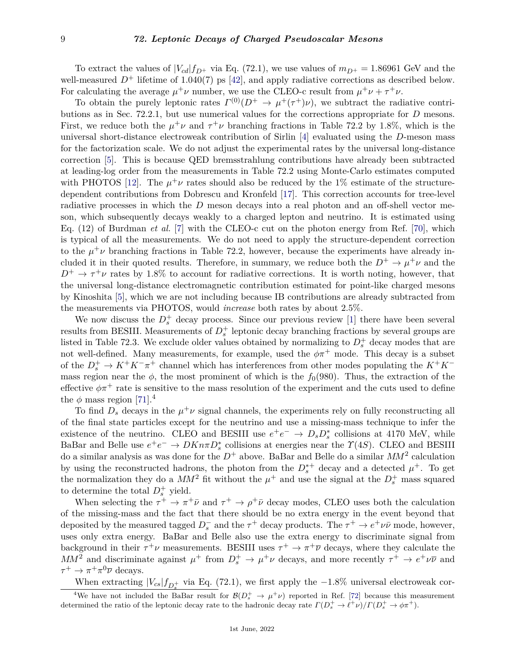To extract the values of  $|V_{cd}|f_{D^+}$  via Eq. (72.1), we use values of  $m_{D^+} = 1.86961$  GeV and the well-measured  $D^+$  lifetime of 1.040(7) ps [\[42\]](#page-17-21), and apply radiative corrections as described below. For calculating the average  $\mu^+\nu$  number, we use the CLEO-c result from  $\mu^+\nu + \tau^+\nu$ .

To obtain the purely leptonic rates  $\Gamma^{(0)}(D^+ \to \mu^+(\tau^+)\nu)$ , we subtract the radiative contributions as in Sec. 72.2.1, but use numerical values for the corrections appropriate for *D* mesons. First, we reduce both the  $\mu^+\nu$  and  $\tau^+\nu$  branching fractions in Table 72.2 by 1.8%, which is the universal short-distance electroweak contribution of Sirlin [\[4\]](#page-16-3) evaluated using the *D*-meson mass for the factorization scale. We do not adjust the experimental rates by the universal long-distance correction [\[5\]](#page-16-4). This is because QED bremsstrahlung contributions have already been subtracted at leading-log order from the measurements in Table 72.2 using Monte-Carlo estimates computed with PHOTOS [\[12\]](#page-16-7). The  $\mu^+\nu$  rates should also be reduced by the 1% estimate of the structuredependent contributions from Dobrescu and Kronfeld [\[17\]](#page-16-9). This correction accounts for tree-level radiative processes in which the *D* meson decays into a real photon and an off-shell vector meson, which subsequently decays weakly to a charged lepton and neutrino. It is estimated using Eq. (12) of Burdman *et al.* [\[7\]](#page-16-15) with the CLEO-c cut on the photon energy from Ref. [\[70\]](#page-18-18), which is typical of all the measurements. We do not need to apply the structure-dependent correction to the  $\mu^+\nu$  branching fractions in Table 72.2, however, because the experiments have already included it in their quoted results. Therefore, in summary, we reduce both the  $D^+ \to \mu^+\nu$  and the  $D^+ \rightarrow \tau^+\nu$  rates by 1.8% to account for radiative corrections. It is worth noting, however, that the universal long-distance electromagnetic contribution estimated for point-like charged mesons by Kinoshita [\[5\]](#page-16-4), which we are not including because IB contributions are already subtracted from the measurements via PHOTOS, would *increase* both rates by about 2.5%.

We now discuss the  $D_s^+$  decay process. Since our previous review [\[1\]](#page-16-0) there have been several results from BESIII. Measurements of  $D_s^+$  leptonic decay branching fractions by several groups are listed in Table 72.3. We exclude older values obtained by normalizing to  $D_s^+$  decay modes that are not well-defined. Many measurements, for example, used the  $\phi \pi^+$  mode. This decay is a subset of the  $D_s^+$  →  $K^+K^-\pi^+$  channel which has interferences from other modes populating the  $K^+K^$ mass region near the  $\phi$ , the most prominent of which is the  $f_0(980)$ . Thus, the extraction of the effective  $\phi \pi^+$  rate is sensitive to the mass resolution of the experiment and the cuts used to define the  $\phi$  mass region [\[71\]](#page-18-19).<sup>[4](#page-8-0)</sup>

To find  $D_s$  decays in the  $\mu^+\nu$  signal channels, the experiments rely on fully reconstructing all of the final state particles except for the neutrino and use a missing-mass technique to infer the existence of the neutrino. CLEO and BESIII use  $e^+e^- \to D_s D_s^*$  collisions at 4170 MeV, while BaBar and Belle use  $e^+e^- \to DKn\pi D^*_s$  collisions at energies near the *Y*(4*S*). CLEO and BESIII do a similar analysis as was done for the  $D^+$  above. BaBar and Belle do a similar  $MM^2$  calculation by using the reconstructed hadrons, the photon from the  $D_s^{*+}$  decay and a detected  $\mu^+$ . To get the normalization they do a  $MM^2$  fit without the  $\mu^+$  and use the signal at the  $D_s^+$  mass squared to determine the total  $D_s^+$  yield.

When selecting the  $\tau^+ \to \pi^+ \bar{\nu}$  and  $\tau^+ \to \rho^+ \bar{\nu}$  decay modes, CLEO uses both the calculation of the missing-mass and the fact that there should be no extra energy in the event beyond that deposited by the measured tagged  $D_s^-$  and the  $\tau^+$  decay products. The  $\tau^+ \to e^+ \nu \bar{\nu}$  mode, however, uses only extra energy. BaBar and Belle also use the extra energy to discriminate signal from background in their  $\tau^+\nu$  measurements. BESIII uses  $\tau^+\to\pi^+\overline{\nu}$  decays, where they calculate the *MM*<sup>2</sup> and discriminate against  $\mu^+$  from  $D_s^+ \to \mu^+\nu$  decays, and more recently  $\tau^+ \to e^+\nu\overline{\nu}$  and  $\tau^+ \to \pi^+ \pi^0 \overline{\nu}$  decays.

<span id="page-8-0"></span>When extracting  $|V_{cs}| f_{D_s^+}$  via Eq. (72.1), we first apply the  $-1.8\%$  universal electroweak cor-

<sup>&</sup>lt;sup>4</sup>We have not included the BaBar result for  $\mathcal{B}(D_s^+\to\mu^+\nu)$  reported in Ref. [\[72\]](#page-18-20) because this measurement determined the ratio of the leptonic decay rate to the hadronic decay rate  $\Gamma(D_s^+ \to \ell^+ \nu)/\Gamma(D_s^+ \to \phi \pi^+)$ .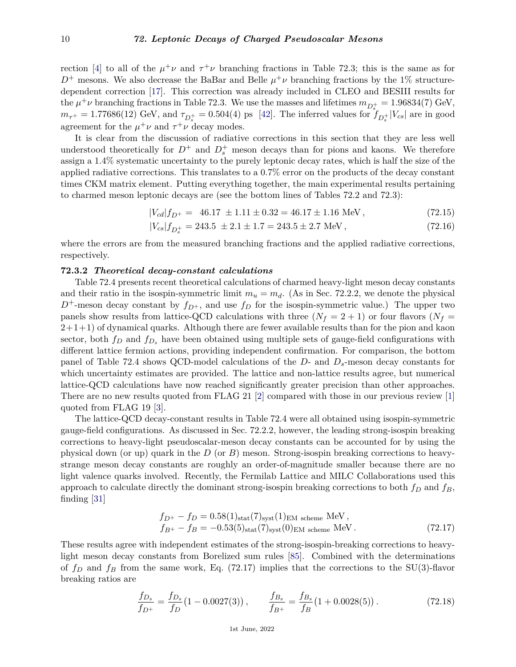rection [\[4\]](#page-16-3) to all of the  $\mu^+\nu$  and  $\tau^+\nu$  branching fractions in Table 72.3; this is the same as for  $D^+$  mesons. We also decrease the BaBar and Belle  $\mu^+\nu$  branching fractions by the 1% structuredependent correction [\[17\]](#page-16-9). This correction was already included in CLEO and BESIII results for the  $\mu^+\nu$  branching fractions in Table 72.3. We use the masses and lifetimes  $m_{D_s^+} = 1.96834(7)$  GeV,  $m_{\tau^+} = 1.77686(12)$  GeV, and  $\tau_{D_s^+} = 0.504(4)$  ps [\[42\]](#page-17-21). The inferred values for  $f_{D_s^+}|V_{cs}|$  are in good agreement for the  $\mu^+\nu$  and  $\tau^+\nu$  decay modes.

It is clear from the discussion of radiative corrections in this section that they are less well understood theoretically for  $D^+$  and  $D_s^+$  meson decays than for pions and kaons. We therefore assign a 1.4% systematic uncertainty to the purely leptonic decay rates, which is half the size of the applied radiative corrections. This translates to a 0.7% error on the products of the decay constant times CKM matrix element. Putting everything together, the main experimental results pertaining to charmed meson leptonic decays are (see the bottom lines of Tables 72.2 and 72.3):

$$
|V_{cd}|f_{D^+} = 46.17 \pm 1.11 \pm 0.32 = 46.17 \pm 1.16 \text{ MeV}, \qquad (72.15)
$$

$$
|V_{cs}|f_{D_s^+} = 243.5 \pm 2.1 \pm 1.7 = 243.5 \pm 2.7 \text{ MeV},\tag{72.16}
$$

where the errors are from the measured branching fractions and the applied radiative corrections, respectively.

### **72.3.2** *Theoretical decay-constant calculations*

Table 72.4 presents recent theoretical calculations of charmed heavy-light meson decay constants and their ratio in the isospin-symmetric limit  $m_u = m_d$ . (As in Sec. 72.2.2, we denote the physical  $D^+$ -meson decay constant by  $f_{D^+}$ , and use  $f_D$  for the isospin-symmetric value.) The upper two panels show results from lattice-QCD calculations with three  $(N_f = 2 + 1)$  or four flavors  $(N_f = 1)$  $2+1+1$ ) of dynamical quarks. Although there are fewer available results than for the pion and kaon sector, both  $f_D$  and  $f_{D_s}$  have been obtained using multiple sets of gauge-field configurations with different lattice fermion actions, providing independent confirmation. For comparison, the bottom panel of Table 72.4 shows QCD-model calculations of the *D*- and *Ds*-meson decay constants for which uncertainty estimates are provided. The lattice and non-lattice results agree, but numerical lattice-QCD calculations have now reached significantly greater precision than other approaches. There are no new results quoted from FLAG 21 [\[2\]](#page-16-1) compared with those in our previous review [\[1\]](#page-16-0) quoted from FLAG 19 [\[3\]](#page-16-2).

The lattice-QCD decay-constant results in Table 72.4 were all obtained using isospin-symmetric gauge-field configurations. As discussed in Sec. 72.2.2, however, the leading strong-isospin breaking corrections to heavy-light pseudoscalar-meson decay constants can be accounted for by using the physical down (or up) quark in the *D* (or *B*) meson. Strong-isospin breaking corrections to heavystrange meson decay constants are roughly an order-of-magnitude smaller because there are no light valence quarks involved. Recently, the Fermilab Lattice and MILC Collaborations used this approach to calculate directly the dominant strong-isospin breaking corrections to both *f<sup>D</sup>* and *fB*, finding [\[31\]](#page-17-11)

$$
f_{D^{+}} - f_{D} = 0.58(1)_{\text{stat}}(7)_{\text{syst}}(1)_{\text{EM scheme}} \text{ MeV},
$$
  
\n
$$
f_{B^{+}} - f_{B} = -0.53(5)_{\text{stat}}(7)_{\text{syst}}(0)_{\text{EM scheme}} \text{ MeV}. \tag{72.17}
$$

These results agree with independent estimates of the strong-isospin-breaking corrections to heavylight meson decay constants from Borelized sum rules [\[85\]](#page-18-21). Combined with the determinations of  $f_D$  and  $f_B$  from the same work, Eq. (72.17) implies that the corrections to the SU(3)-flavor breaking ratios are

$$
\frac{f_{D_s}}{f_{D^+}} = \frac{f_{D_s}}{f_D} (1 - 0.0027(3)), \qquad \frac{f_{B_s}}{f_{B^+}} = \frac{f_{B_s}}{f_B} (1 + 0.0028(5)). \tag{72.18}
$$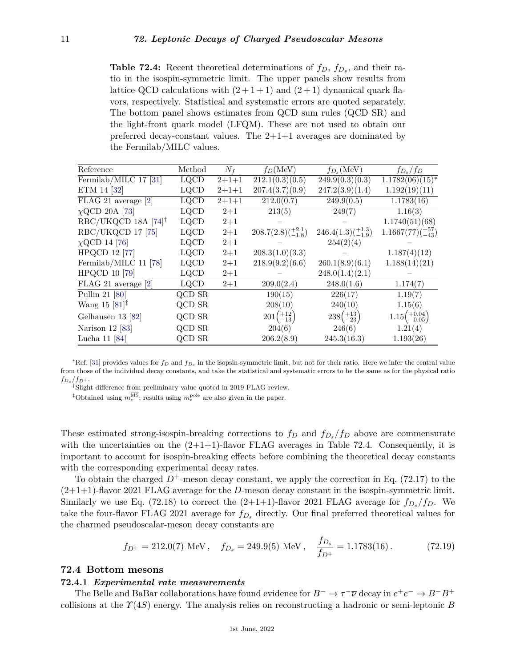**Table 72.4:** Recent theoretical determinations of *fD*, *fD<sup>s</sup>* , and their ratio in the isospin-symmetric limit. The upper panels show results from lattice-QCD calculations with  $(2+1+1)$  and  $(2+1)$  dynamical quark flavors, respectively. Statistical and systematic errors are quoted separately. The bottom panel shows estimates from QCD sum rules (QCD SR) and the light-front quark model (LFQM). These are not used to obtain our preferred decay-constant values. The  $2+1+1$  averages are dominated by the Fermilab/MILC values.

| Reference                                       | Method        | $N_f$       | $f_D(MeV)$                   | $f_{D_s}(\text{MeV})$        | $f_{D_s}/f_D$                                                  |
|-------------------------------------------------|---------------|-------------|------------------------------|------------------------------|----------------------------------------------------------------|
| Fermilab/MILC 17 [31]                           | <b>LQCD</b>   | $2 + 1 + 1$ | 212.1(0.3)(0.5)              | 249.9(0.3)(0.3)              | $1.1782(06)(15)^*$                                             |
| ETM 14 [32]                                     | <b>LQCD</b>   | $2 + 1 + 1$ | 207.4(3.7)(0.9)              | 247.2(3.9)(1.4)              | 1.192(19)(11)                                                  |
| FLAG 21 average [2]                             | $_{\rm LQCD}$ | $2 + 1 + 1$ | 212.0(0.7)                   | 249.9(0.5)                   | 1.1783(16)                                                     |
| $\chi$ QCD 20A [73]                             | <b>LQCD</b>   | $2 + 1$     | 213(5)                       | 249(7)                       | 1.16(3)                                                        |
| $RBC/UKQCD 18A [74]$ <sup>†</sup>               | $_{\rm LQCD}$ | $2+1$       |                              |                              | 1.1740(51)(68)                                                 |
| RBC/UKQCD 17 [75]                               | <b>LQCD</b>   | $2+1$       | $208.7(2.8)(^{+2.1}_{-1.8})$ | $246.4(1.3)(^{+1.3}_{-1.9})$ | $1.1667(77)(\begin{smallmatrix} +57 \\ -43 \end{smallmatrix})$ |
| $\chi$ QCD 14 [76]                              | <b>LQCD</b>   | $2+1$       |                              | 254(2)(4)                    |                                                                |
| <b>HPQCD 12 [77]</b>                            | <b>LQCD</b>   | $2+1$       | 208.3(1.0)(3.3)              |                              | 1.187(4)(12)                                                   |
| Fermilab/MILC 11 [78]                           | <b>LQCD</b>   | $2 + 1$     | 218.9(9.2)(6.6)              | 260.1(8.9)(6.1)              | 1.188(14)(21)                                                  |
| <b>HPQCD 10 [79]</b>                            | <b>LQCD</b>   | $2 + 1$     |                              | 248.0(1.4)(2.1)              |                                                                |
| FLAG 21 average [2]                             | <b>LQCD</b>   | $2+1$       | 209.0(2.4)                   | 248.0(1.6)                   | 1.174(7)                                                       |
| Pullin 21 [80]                                  | QCD SR        |             | 190(15)                      | 226(17)                      | 1.19(7)                                                        |
| Wang 15 $[81]$ <sup><math>\ddagger</math></sup> | QCD SR        |             | 208(10)                      | 240(10)                      | 1.15(6)                                                        |
| Gelhausen 13 [82]                               | QCD SR        |             | $201 \binom{+12}{-13}$       | $238\binom{+13}{-23}$        | $1.15 \binom{+0.04}{-0.05}$                                    |
| Narison $12$ [83]                               | QCD SR        |             | 204(6)                       | 246(6)                       | 1.21(4)                                                        |
| Lucha 11 [84]                                   | QCD SR        |             | 206.2(8.9)                   | 245.3(16.3)                  | 1.193(26)                                                      |

<span id="page-10-0"></span><sup>∗</sup>Ref. [\[31\]](#page-17-11) provides values for *f<sup>D</sup>* and *f<sup>D</sup><sup>s</sup>* in the isopsin-symmetric limit, but not for their ratio. Here we infer the central value from those of the individual decay constants, and take the statistical and systematic errors to be the same as for the physical ratio  $f_{D_s}/f_{D^+}$ .

<span id="page-10-1"></span>†Slight difference from preliminary value quoted in 2019 FLAG review.

<span id="page-10-2"></span><sup>‡</sup>Obtained using  $m_c^{\text{MS}}$ ; results using  $m_c^{\text{pole}}$  are also given in the paper.

These estimated strong-isospin-breaking corrections to  $f_D$  and  $f_{D_s}/f_D$  above are commensurate with the uncertainties on the  $(2+1+1)$ -flavor FLAG averages in Table 72.4. Consequently, it is important to account for isospin-breaking effects before combining the theoretical decay constants with the corresponding experimental decay rates.

To obtain the charged  $D^+$ -meson decay constant, we apply the correction in Eq. (72.17) to the (2+1+1)-flavor 2021 FLAG average for the *D*-meson decay constant in the isospin-symmetric limit. Similarly we use Eq. (72.18) to correct the  $(2+1+1)$ -flavor 2021 FLAG average for  $f_{D_s}/f_D$ . We take the four-flavor FLAG 2021 average for *fD<sup>s</sup>* directly. Our final preferred theoretical values for the charmed pseudoscalar-meson decay constants are

$$
f_{D^+} = 212.0(7)
$$
 MeV,  $f_{D_s} = 249.9(5)$  MeV,  $\frac{f_{D_s}}{f_{D^+}} = 1.1783(16)$ . (72.19)

## **72.4 Bottom mesons**

## **72.4.1** *Experimental rate measurements*

The Belle and BaBar collaborations have found evidence for  $B^- \to \tau^- \overline{\nu}$  decay in  $e^+e^- \to B^-B^+$ collisions at the *Υ*(4*S*) energy. The analysis relies on reconstructing a hadronic or semi-leptonic *B*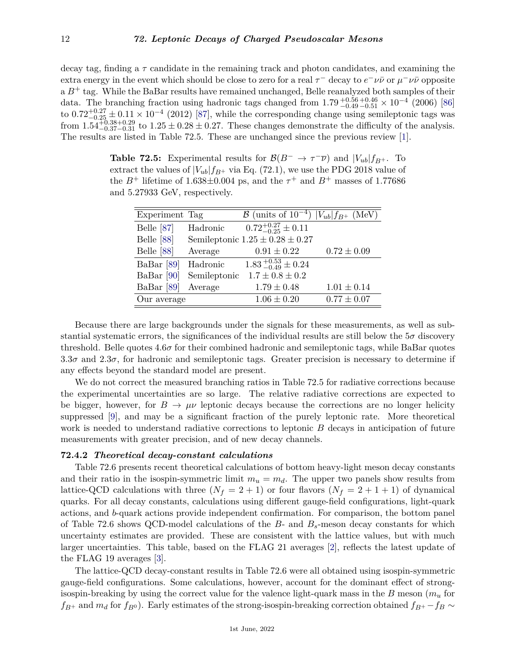decay tag, finding a *τ* candidate in the remaining track and photon candidates, and examining the extra energy in the event which should be close to zero for a real *τ* <sup>−</sup> decay to *e* <sup>−</sup>*νν*¯ or *µ* <sup>−</sup>*νν*¯ opposite  $a B<sup>+</sup>$  tag. While the BaBar results have remained unchanged, Belle reanalyzed both samples of their data. The branching fraction using hadronic tags changed from  $1.79_{-0.49}^{+0.56} \times 10^{-4}$  (2006) [\[86\]](#page-18-34) to  $0.72^{+0.27}_{-0.25} \pm 0.11 \times 10^{-4}$  (2012) [\[87\]](#page-18-35), while the corresponding change using semileptonic tags was from  $1.54_{-0.37-0.31}^{+0.38+0.29}$  to  $1.25 \pm 0.28 \pm 0.27$ . These changes demonstrate the difficulty of the analysis. The results are listed in Table 72.5. These are unchanged since the previous review [\[1\]](#page-16-0).

**Table 72.5:** Experimental results for  $\mathcal{B}(B^- \to \tau^- \overline{\nu})$  and  $|V_{ub}| f_{B^+}$ . To extract the values of  $|V_{ub}|f_{B^+}$  via Eq. (72.1), we use the PDG 2018 value of the  $B^+$  lifetime of 1.638 $\pm$ 0.004 ps, and the  $\tau^+$  and  $B^+$  masses of 1.77686 and 5.27933 GeV, respectively.

| Experiment Tag        |              | $\overline{\mathcal{B}}$ (units of $10^{-4}$ ) $ V_{ub} f_{B^+}$ (MeV) |                 |
|-----------------------|--------------|------------------------------------------------------------------------|-----------------|
| Belle [87]            | Hadronic     | $0.72^{+0.27}_{-0.25} \pm 0.11$                                        |                 |
| Belle $[88]$          |              | Semileptonic $1.25 \pm 0.28 \pm 0.27$                                  |                 |
| Belle [88]            | Average      | $0.91 \pm 0.22$                                                        | $0.72 \pm 0.09$ |
| BaBar <sup>[89]</sup> | Hadronic     | $1.83_{-0.49}^{+0.53} \pm 0.24$                                        |                 |
| BaBar [90]            | Semileptonic | $1.7 \pm 0.8 \pm 0.2$                                                  |                 |
| BaBar <sup>[89]</sup> | Average      | $1.79 \pm 0.48$                                                        | $1.01 \pm 0.14$ |
| Our average           |              | $1.06 \pm 0.20$                                                        | $0.77 \pm 0.07$ |

Because there are large backgrounds under the signals for these measurements, as well as substantial systematic errors, the significances of the individual results are still below the  $5\sigma$  discovery threshold. Belle quotes  $4.6\sigma$  for their combined hadronic and semileptonic tags, while BaBar quotes  $3.3\sigma$  and  $2.3\sigma$ , for hadronic and semileptonic tags. Greater precision is necessary to determine if any effects beyond the standard model are present.

We do not correct the measured branching ratios in Table 72.5 for radiative corrections because the experimental uncertainties are so large. The relative radiative corrections are expected to be bigger, however, for  $B \to \mu\nu$  leptonic decays because the corrections are no longer helicity suppressed [\[9\]](#page-16-16), and may be a significant fraction of the purely leptonic rate. More theoretical work is needed to understand radiative corrections to leptonic *B* decays in anticipation of future measurements with greater precision, and of new decay channels.

### **72.4.2** *Theoretical decay-constant calculations*

Table 72.6 presents recent theoretical calculations of bottom heavy-light meson decay constants and their ratio in the isospin-symmetric limit  $m_u = m_d$ . The upper two panels show results from lattice-QCD calculations with three  $(N_f = 2 + 1)$  or four flavors  $(N_f = 2 + 1 + 1)$  of dynamical quarks. For all decay constants, calculations using different gauge-field configurations, light-quark actions, and *b*-quark actions provide independent confirmation. For comparison, the bottom panel of Table 72.6 shows QCD-model calculations of the *B*- and *Bs*-meson decay constants for which uncertainty estimates are provided. These are consistent with the lattice values, but with much larger uncertainties. This table, based on the FLAG 21 averages [\[2\]](#page-16-1), reflects the latest update of the FLAG 19 averages [\[3\]](#page-16-2).

The lattice-QCD decay-constant results in Table 72.6 were all obtained using isospin-symmetric gauge-field configurations. Some calculations, however, account for the dominant effect of strongisospin-breaking by using the correct value for the valence light-quark mass in the *B* meson (*m<sup>u</sup>* for  $f_{B^+}$  and  $m_d$  for  $f_{B^0}$ ). Early estimates of the strong-isospin-breaking correction obtained  $f_{B^+}$  −  $f_B \sim$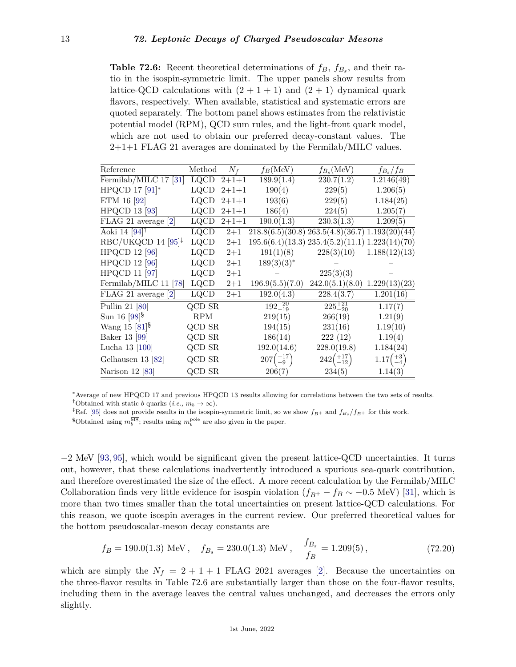**Table 72.6:** Recent theoretical determinations of *fB*, *fB<sup>s</sup>* , and their ratio in the isospin-symmetric limit. The upper panels show results from lattice-QCD calculations with  $(2 + 1 + 1)$  and  $(2 + 1)$  dynamical quark flavors, respectively. When available, statistical and systematic errors are quoted separately. The bottom panel shows estimates from the relativistic potential model (RPM), QCD sum rules, and the light-front quark model, which are not used to obtain our preferred decay-constant values. The 2+1+1 FLAG 21 averages are dominated by the Fermilab/MILC values.

| Reference                                            | Method        | $N_f$       | $f_B(\text{MeV})$    | $f_{B_s}(\text{MeV})$                                 | $f_{B_s}/f_B$         |
|------------------------------------------------------|---------------|-------------|----------------------|-------------------------------------------------------|-----------------------|
| Fermilab/MILC 17 [31]                                | <b>LQCD</b>   | $2+1+1$     | 189.9(1.4)           | 230.7(1.2)                                            | 1.2146(49)            |
| HPQCD 17 $[91]$ *                                    | <b>LQCD</b>   | $2+1+1$     | 190(4)               | 229(5)                                                | 1.206(5)              |
| ETM 16 [92]                                          | <b>LQCD</b>   | $2+1+1$     | 193(6)               | 229(5)                                                | 1.184(25)             |
| <b>HPQCD 13 [93]</b>                                 | LQCD          | $2 + 1 + 1$ | 186(4)               | 224(5)                                                | 1.205(7)              |
| FLAG 21 average [2]                                  | LQCD          | $2 + 1 + 1$ | 190.0(1.3)           | 230.3(1.3)                                            | 1.209(5)              |
| Aoki 14 $[94]$ <sup>†</sup>                          | LQCD          | $2+1$       |                      | $218.8(6.5)(30.8)$ $263.5(4.8)(36.7)$ $1.193(20)(44)$ |                       |
| $RBC/UKQCD$ 14 [95] <sup><math>\ddagger</math></sup> | <b>LQCD</b>   | $2+1$       |                      | $195.6(6.4)(13.3)$ $235.4(5.2)(11.1)$ $1.223(14)(70)$ |                       |
| <b>HPQCD 12 [96]</b>                                 | LQCD          | $2+1$       | 191(1)(8)            | 228(3)(10)                                            | 1.188(12)(13)         |
| <b>HPQCD 12 [96]</b>                                 | <b>LQCD</b>   | $2 + 1$     | $189(3)(3)^*$        |                                                       |                       |
| <b>HPQCD 11 [97]</b>                                 | LQCD          | $2+1$       |                      | 225(3)(3)                                             |                       |
| Fermilab/MILC 11 [78]                                | $_{\rm LQCD}$ | $2 + 1$     | 196.9(5.5)(7.0)      | $242.0(5.1)(8.0)$ 1.229(13)(23)                       |                       |
| FLAG 21 average [2]                                  | LQCD          | $2+1$       | 192.0(4.3)           | 228.4(3.7)                                            | 1.201(16)             |
| Pullin 21 [80]                                       | QCD SR        |             | $192^{+20}_{-19}$    | $225^{+21}_{-20}$                                     | 1.17(7)               |
| Sun 16 $[98]$ <sup>§</sup>                           | <b>RPM</b>    |             | 219(15)              | 266(19)                                               | 1.21(9)               |
| Wang 15 $[81]$ <sup>§</sup>                          | QCD SR        |             | 194(15)              | 231(16)                                               | 1.19(10)              |
| Baker 13 [99]                                        | QCD SR        |             | 186(14)              | 222(12)                                               | 1.19(4)               |
| Lucha 13 [100]                                       | QCD SR        |             | 192.0(14.6)          | 228.0(19.8)                                           | 1.184(24)             |
| Gelhausen 13 $[82]$                                  | QCD SR        |             | $207\binom{+17}{-9}$ | $242 \binom{+17}{-12}$                                | $1.17 \binom{+3}{-4}$ |
| Narison 12 [83]                                      | QCD SR        |             | 206(7)               | 234(5)                                                | 1.14(3)               |

<span id="page-12-1"></span><span id="page-12-0"></span><sup>∗</sup>Average of new HPQCD 17 and previous HPQCD 13 results allowing for correlations between the two sets of results. <sup>†</sup>Obtained with static *b* quarks (*i.e.,*  $m_b \to \infty$ ).

<span id="page-12-2"></span><sup>‡</sup>Ref. [\[95\]](#page-19-7) does not provide results in the isospin-symmetric limit, so we show  $f_{B+}$  and  $f_{B_s}/f_{B+}$  for this work.

−2 MeV [\[93,](#page-19-5) [95\]](#page-19-7), which would be significant given the present lattice-QCD uncertainties. It turns out, however, that these calculations inadvertently introduced a spurious sea-quark contribution, and therefore overestimated the size of the effect. A more recent calculation by the Fermilab/MILC Collaboration finds very little evidence for isospin violation  $(f_{B^+} - f_B \sim -0.5 \text{ MeV})$  [\[31\]](#page-17-11), which is more than two times smaller than the total uncertainties on present lattice-QCD calculations. For this reason, we quote isospin averages in the current review. Our preferred theoretical values for the bottom pseudoscalar-meson decay constants are

$$
f_B = 190.0(1.3)
$$
 MeV,  $f_{B_s} = 230.0(1.3)$  MeV,  $\frac{f_{B_s}}{f_B} = 1.209(5)$ , (72.20)

which are simply the  $N_f = 2 + 1 + 1$  FLAG 2021 averages [\[2\]](#page-16-1). Because the uncertainties on the three-flavor results in Table 72.6 are substantially larger than those on the four-flavor results, including them in the average leaves the central values unchanged, and decreases the errors only slightly.

<span id="page-12-3"></span><sup>&</sup>lt;sup>§</sup>Obtained using  $m_b^{\overline{\text{MS}}}$ ; results using  $m_b^{\text{pole}}$  are also given in the paper.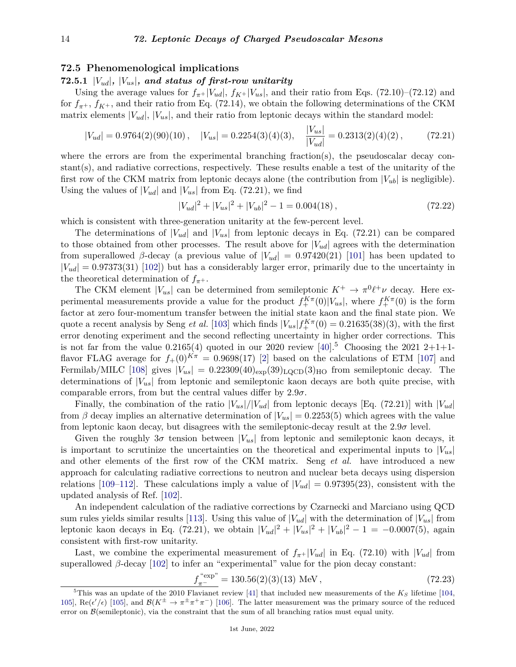## **72.5 Phenomenological implications**

# **72.5.1** |*Vud*|*,* |*Vus*|*, and status of first-row unitarity*

Using the average values for  $f_{\pi^+}|V_{ud}|$ ,  $f_{K^+}|V_{us}|$ , and their ratio from Eqs. (72.10)–(72.12) and for  $f_{\pi^+}$ ,  $f_{K^+}$ , and their ratio from Eq. (72.14), we obtain the following determinations of the CKM matrix elements  $|V_{ud}|$ ,  $|V_{us}|$ , and their ratio from leptonic decays within the standard model:

$$
|V_{ud}| = 0.9764(2)(90)(10), \quad |V_{us}| = 0.2254(3)(4)(3), \quad \frac{|V_{us}|}{|V_{ud}|} = 0.2313(2)(4)(2), \quad (72.21)
$$

where the errors are from the experimental branching fraction(s), the pseudoscalar decay constant(s), and radiative corrections, respectively. These results enable a test of the unitarity of the first row of the CKM matrix from leptonic decays alone (the contribution from  $|V_{ub}|$  is negligible). Using the values of  $|V_{ud}|$  and  $|V_{us}|$  from Eq. (72.21), we find

$$
|V_{ud}|^2 + |V_{us}|^2 + |V_{ub}|^2 - 1 = 0.004(18),\tag{72.22}
$$

which is consistent with three-generation unitarity at the few-percent level.

The determinations of  $|V_{ud}|$  and  $|V_{us}|$  from leptonic decays in Eq. (72.21) can be compared to those obtained from other processes. The result above for  $|V_{ud}|$  agrees with the determination from superallowed  $\beta$ -decay (a previous value of  $|V_{ud}| = 0.97420(21)$  [\[101\]](#page-19-13) has been updated to  $|V_{ud}| = 0.97373(31)$  [\[102\]](#page-19-14)) but has a considerably larger error, primarily due to the uncertainty in the theoretical determination of  $f_{\pi^+}$ .

The CKM element  $|V_{us}|$  can be determined from semileptonic  $K^+ \to \pi^0 \ell^+ \nu$  decay. Here experimental measurements provide a value for the product  $f_+^{K\pi}(0)|V_{us}|$ , where  $f_+^{K\pi}(0)$  is the form factor at zero four-momentum transfer between the initial state kaon and the final state pion. We quote a recent analysis by Seng *et al.* [\[103\]](#page-19-15) which finds  $|V_{us}| f_{+}^{K\pi}(0) = 0.21635(38)(3)$ , with the first error denoting experiment and the second reflecting uncertainty in higher order corrections. This is not far from the value  $0.2165(4)$  $0.2165(4)$  $0.2165(4)$  quoted in our 2020 review [\[40\]](#page-17-8).<sup>5</sup> Choosing the 2021 2+1+1flavor FLAG average for  $f_+(0)^{K\pi} = 0.9698(17)$  [\[2\]](#page-16-1) based on the calculations of ETM [\[107\]](#page-19-16) and Fermilab/MILC [\[108\]](#page-19-17) gives  $|V_{us}| = 0.22309(40)_{\rm exp}(39)_{\rm LQCD}(3)_{\rm HO}$  from semileptonic decay. The determinations of  $|V_{us}|$  from leptonic and semileptonic kaon decays are both quite precise, with comparable errors, from but the central values differ by  $2.9\sigma$ .

Finally, the combination of the ratio  $|V_{us}|/|V_{ud}|$  from leptonic decays [Eq. (72.21)] with  $|V_{ud}|$ from  $\beta$  decay implies an alternative determination of  $|V_{us}| = 0.2253(5)$  which agrees with the value from leptonic kaon decay, but disagrees with the semileptonic-decay result at the  $2.9\sigma$  level.

Given the roughly  $3\sigma$  tension between  $|V_{us}|$  from leptonic and semileptonic kaon decays, it is important to scrutinize the uncertainties on the theoretical and experimental inputs to  $|V_{us}|$ and other elements of the first row of the CKM matrix. Seng *et al.* have introduced a new approach for calculating radiative corrections to neutron and nuclear beta decays using dispersion relations [\[109](#page-19-18)[–112\]](#page-19-19). These calculations imply a value of  $|V_{ud}| = 0.97395(23)$ , consistent with the updated analysis of Ref. [\[102\]](#page-19-14).

An independent calculation of the radiative corrections by Czarnecki and Marciano using QCD sum rules yields similar results [\[113\]](#page-19-20). Using this value of  $|V_{ud}|$  with the determination of  $|V_{us}|$  from leptonic kaon decays in Eq. (72.21), we obtain  $|V_{ud}|^2 + |V_{us}|^2 + |V_{ub}|^2 - 1 = -0.0007(5)$ , again consistent with first-row unitarity.

Last, we combine the experimental measurement of  $f_{\pi^+}|V_{ud}|$  in Eq. (72.10) with  $|V_{ud}|$  from superallowed  $\beta$ -decay [\[102\]](#page-19-14) to infer an "experimental" value for the pion decay constant:

$$
f_{\pi^-}^{\text{``exp''}} = 130.56(2)(3)(13) \text{ MeV},\tag{72.23}
$$

<span id="page-13-0"></span><sup>&</sup>lt;sup>5</sup>This was an update of the 2010 Flavianet review [\[41\]](#page-17-20) that included new measurements of the  $K_S$  lifetime [\[104,](#page-19-21) [105\]](#page-19-22),  $\text{Re}(\epsilon'/\epsilon)$  [\[105\]](#page-19-22), and  $\mathcal{B}(K^{\pm} \to \pi^{\pm} \pi^+ \pi^-)$  [\[106\]](#page-19-23). The latter measurement was the primary source of the reduced error on  $\mathcal{B}$ (semileptonic), via the constraint that the sum of all branching ratios must equal unity.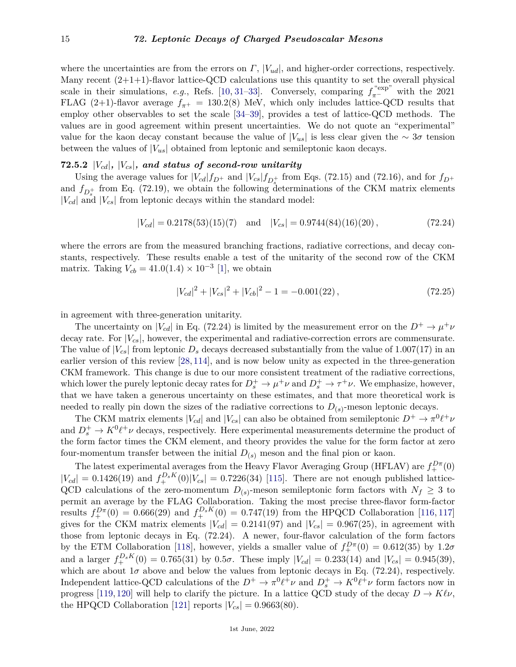where the uncertainties are from the errors on *Γ*, |*Vud*|, and higher-order corrections, respectively. Many recent  $(2+1+1)$ -flavor lattice-QCD calculations use this quantity to set the overall physical scale in their simulations, *e.g.*, Refs. [\[10,](#page-16-14) [31](#page-17-11)[–33\]](#page-17-13). Conversely, comparing  $f_{\pi^-}^{\text{``exp''}}$  with the 2021 FLAG (2+1)-flavor average  $f_{\pi^+}$  = 130.2(8) MeV, which only includes lattice-QCD results that employ other observables to set the scale [\[34](#page-17-14)[–39\]](#page-17-19), provides a test of lattice-QCD methods. The values are in good agreement within present uncertainties. We do not quote an "experimental" value for the kaon decay constant because the value of  $|V_{us}|$  is less clear given the  $\sim 3\sigma$  tension between the values of  $|V_{us}|$  obtained from leptonic and semileptonic kaon decays.

## **72.5.2** |*Vcd*|*,* |*Vcs*|*, and status of second-row unitarity*

Using the average values for  $|V_{cd}|f_{D^+}$  and  $|V_{cs}|f_{D_s^+}$  from Eqs. (72.15) and (72.16), and for  $f_{D^+}$ and  $f_{D_s^+}$  from Eq. (72.19), we obtain the following determinations of the CKM matrix elements  $|V_{cd}|$  and  $|V_{cs}|$  from leptonic decays within the standard model:

$$
|V_{cd}| = 0.2178(53)(15)(7) \text{ and } |V_{cs}| = 0.9744(84)(16)(20), \qquad (72.24)
$$

where the errors are from the measured branching fractions, radiative corrections, and decay constants, respectively. These results enable a test of the unitarity of the second row of the CKM matrix. Taking  $V_{cb} = 41.0(1.4) \times 10^{-3}$  [\[1\]](#page-16-0), we obtain

$$
|V_{cd}|^2 + |V_{cs}|^2 + |V_{cb}|^2 - 1 = -0.001(22),\tag{72.25}
$$

in agreement with three-generation unitarity.

The uncertainty on  $|V_{cd}|$  in Eq. (72.24) is limited by the measurement error on the  $D^+ \to \mu^+\nu$ decay rate. For  $|V_{cs}|$ , however, the experimental and radiative-correction errors are commensurate. The value of  $|V_{cs}|$  from leptonic  $D_s$  decays decreased substantially from the value of 1.007(17) in an earlier version of this review [\[28,](#page-17-6) [114\]](#page-19-24), and is now below unity as expected in the three-generation CKM framework. This change is due to our more consistent treatment of the radiative corrections, which lower the purely leptonic decay rates for  $D_s^+ \to \mu^+\nu$  and  $D_s^+ \to \tau^+\nu$ . We emphasize, however, that we have taken a generous uncertainty on these estimates, and that more theoretical work is needed to really pin down the sizes of the radiative corrections to  $D_{(s)}$ -meson leptonic decays.

The CKM matrix elements  $|V_{cd}|$  and  $|V_{cs}|$  can also be obtained from semileptonic  $D^+ \to \pi^0 \ell^+ \nu$ and  $D_s^+ \to K^0 \ell^+ \nu$  decays, respectively. Here experimental measurements determine the product of the form factor times the CKM element, and theory provides the value for the form factor at zero four-momentum transfer between the initial  $D_{(s)}$  meson and the final pion or kaon.

The latest experimental averages from the Heavy Flavor Averaging Group (HFLAV) are  $f_{+}^{D\pi}(0)$  $|V_{cd}| = 0.1426(19)$  and  $f_{+}^{D_s K}(0)|V_{cs}| = 0.7226(34)$  [\[115\]](#page-19-25). There are not enough published lattice-QCD calculations of the zero-momentum  $D_{(s)}$ -meson semileptonic form factors with  $N_f \geq 3$  to permit an average by the FLAG Collaboration. Taking the most precise three-flavor form-factor results  $f_{+}^{D_{\pi}}(0) = 0.666(29)$  and  $f_{+}^{D_{s}K}(0) = 0.747(19)$  from the HPQCD Collaboration [\[116,](#page-19-26) [117\]](#page-19-27) gives for the CKM matrix elements  $|V_{cd}| = 0.2141(97)$  and  $|V_{cs}| = 0.967(25)$ , in agreement with those from leptonic decays in Eq. (72.24). A newer, four-flavor calculation of the form factors by the ETM Collaboration [\[118\]](#page-19-28), however, yields a smaller value of  $f_{+}^{D\pi}(0) = 0.612(35)$  by 1.2*σ* and a larger  $f_{+}^{D_s K}(0) = 0.765(31)$  by  $0.5\sigma$ . These imply  $|V_{cd}| = 0.233(14)$  and  $|V_{cs}| = 0.945(39)$ , which are about  $1\sigma$  above and below the values from leptonic decays in Eq. (72.24), respectively. Independent lattice-QCD calculations of the  $D^+ \to \pi^0 \ell^+ \nu$  and  $D_s^+ \to K^0 \ell^+ \nu$  form factors now in progress [\[119,](#page-19-29) [120\]](#page-19-30) will help to clarify the picture. In a lattice QCD study of the decay  $D \to K\ell\nu$ , the HPQCD Collaboration [\[121\]](#page-19-31) reports  $|V_{cs}| = 0.9663(80)$ .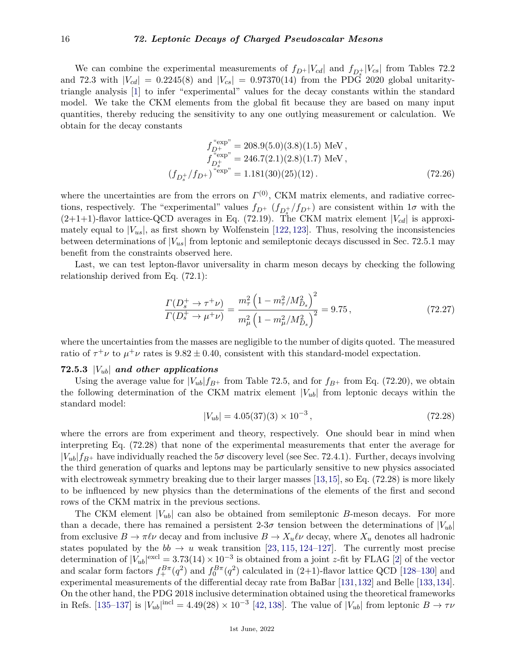We can combine the experimental measurements of  $f_{D^+}|V_{cd}|$  and  $f_{D_s^+}|V_{cs}|$  from Tables 72.2 and 72.3 with  $|V_{cd}| = 0.2245(8)$  and  $|V_{cs}| = 0.97370(14)$  from the PDG 2020 global unitaritytriangle analysis [\[1\]](#page-16-0) to infer "experimental" values for the decay constants within the standard model. We take the CKM elements from the global fit because they are based on many input quantities, thereby reducing the sensitivity to any one outlying measurement or calculation. We obtain for the decay constants

$$
f_{D_{\tau}}^{\text{``exp''}} = 208.9(5.0)(3.8)(1.5) \text{ MeV},
$$
  
\n
$$
f_{D_{\sigma}}^{\text{``exp''}} = 246.7(2.1)(2.8)(1.7) \text{ MeV},
$$
  
\n
$$
(f_{D_{\sigma}}/f_{D_{\tau}})^{\text{``exp''}} = 1.181(30)(25)(12).
$$
\n(72.26)

where the uncertainties are from the errors on  $\Gamma^{(0)}$ , CKM matrix elements, and radiative corrections, respectively. The "experimental" values  $f_{D^+}$  ( $f_{D_s^+}/f_{D^+}$ ) are consistent within  $1\sigma$  with the  $(2+1+1)$ -flavor lattice-QCD averages in Eq. (72.19). The CKM matrix element  $|V_{cd}|$  is approximately equal to  $|V_{us}|$ , as first shown by Wolfenstein [\[122,](#page-19-32) [123\]](#page-20-0). Thus, resolving the inconsistencies between determinations of  $|V_{us}|$  from leptonic and semileptonic decays discussed in Sec. 72.5.1 may benefit from the constraints observed here.

Last, we can test lepton-flavor universality in charm meson decays by checking the following relationship derived from Eq. (72.1):

$$
\frac{\Gamma(D_s^+ \to \tau^+ \nu)}{\Gamma(D_s^+ \to \mu^+ \nu)} = \frac{m_\tau^2 \left(1 - m_\tau^2 / M_{D_s}^2\right)^2}{m_\mu^2 \left(1 - m_\mu^2 / M_{D_s}^2\right)^2} = 9.75\,,\tag{72.27}
$$

where the uncertainties from the masses are negligible to the number of digits quoted. The measured ratio of  $\tau^+\nu$  to  $\mu^+\nu$  rates is  $9.82 \pm 0.40$ , consistent with this standard-model expectation.

## **72.5.3** |*Vub*| *and other applications*

Using the average value for  $|V_{ub}|f_{B^+}$  from Table 72.5, and for  $f_{B^+}$  from Eq. (72.20), we obtain the following determination of the CKM matrix element  $|V_{ub}|$  from leptonic decays within the standard model:

$$
|V_{ub}| = 4.05(37)(3) \times 10^{-3},\tag{72.28}
$$

where the errors are from experiment and theory, respectively. One should bear in mind when interpreting Eq. (72.28) that none of the experimental measurements that enter the average for  $|V_{ub}|f_{B+}$  have individually reached the  $5\sigma$  discovery level (see Sec. 72.4.1). Further, decays involving the third generation of quarks and leptons may be particularly sensitive to new physics associated with electroweak symmetry breaking due to their larger masses [\[13,](#page-16-8)[15\]](#page-16-17), so Eq. (72.28) is more likely to be influenced by new physics than the determinations of the elements of the first and second rows of the CKM matrix in the previous sections.

The CKM element  $|V_{ub}|$  can also be obtained from semileptonic *B*-meson decays. For more than a decade, there has remained a persistent 2-3 $\sigma$  tension between the determinations of  $|V_{ub}|$ from exclusive  $B \to \pi \ell \nu$  decay and from inclusive  $B \to X_u \ell \nu$  decay, where  $X_u$  denotes all hadronic states populated by the  $bb \rightarrow u$  weak transition [\[23,](#page-17-2) [115,](#page-19-25) [124–](#page-20-1)[127\]](#page-20-2). The currently most precise determination of  $|V_{ub}|^{\text{excl}} = 3.73(14) \times 10^{-3}$  is obtained from a joint *z*-fit by FLAG [\[2\]](#page-16-1) of the vector and scalar form factors  $f_+^{B\pi}(q^2)$  and  $f_0^{B\pi}(q^2)$  calculated in (2+1)-flavor lattice QCD [\[128–](#page-20-3)[130\]](#page-20-4) and experimental measurements of the differential decay rate from BaBar [\[131,](#page-20-5)[132\]](#page-20-6) and Belle [\[133,](#page-20-7)[134\]](#page-20-8). On the other hand, the PDG 2018 inclusive determination obtained using the theoretical frameworks in Refs. [\[135–](#page-20-9)[137\]](#page-20-10) is  $|V_{ub}|^{\text{incl}} = 4.49(28) \times 10^{-3}$  [\[42,](#page-17-21) [138\]](#page-20-11). The value of  $|V_{ub}|$  from leptonic  $B \to \tau \nu$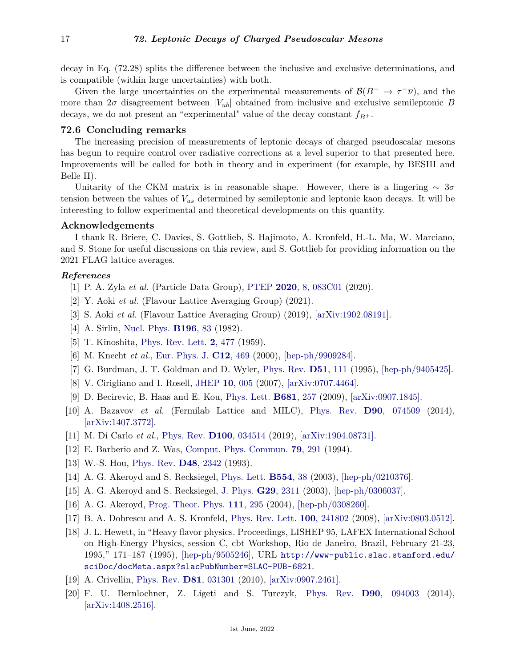decay in Eq. (72.28) splits the difference between the inclusive and exclusive determinations, and is compatible (within large uncertainties) with both.

Given the large uncertainties on the experimental measurements of  $\mathcal{B}(B^- \to \tau^-\bar{\nu})$ , and the more than  $2\sigma$  disagreement between  $|V_{ub}|$  obtained from inclusive and exclusive semileptonic *B* decays, we do not present an "experimental" value of the decay constant  $f_{B^+}$ .

## **72.6 Concluding remarks**

The increasing precision of measurements of leptonic decays of charged pseudoscalar mesons has begun to require control over radiative corrections at a level superior to that presented here. Improvements will be called for both in theory and in experiment (for example, by BESIII and Belle II).

Unitarity of the CKM matrix is in reasonable shape. However, there is a lingering ∼ 3*σ* tension between the values of *Vus* determined by semileptonic and leptonic kaon decays. It will be interesting to follow experimental and theoretical developments on this quantity.

## **Acknowledgements**

I thank R. Briere, C. Davies, S. Gottlieb, S. Hajimoto, A. Kronfeld, H.-L. Ma, W. Marciano, and S. Stone for useful discussions on this review, and S. Gottlieb for providing information on the 2021 FLAG lattice averages.

### <span id="page-16-0"></span>*References*

- [1] P. A. Zyla *et al.* (Particle Data Group), [PTEP](http://doi.org/10.1093/ptep/ptaa104) **2020**[, 8, 083C01](http://doi.org/10.1093/ptep/ptaa104) (2020).
- <span id="page-16-1"></span>[2] Y. Aoki *et al.* (Flavour Lattice Averaging Group) (2021).
- <span id="page-16-3"></span><span id="page-16-2"></span>[3] S. Aoki *et al.* (Flavour Lattice Averaging Group) (2019), [\[arXiv:1902.08191\].](https://arxiv.org/abs/1902.08191)
- [4] A. Sirlin, [Nucl. Phys.](http://doi.org/10.1016/0550-3213(82)90303-0) **[B196](http://doi.org/10.1016/0550-3213(82)90303-0)**, 83 (1982).
- <span id="page-16-4"></span>[5] T. Kinoshita, [Phys. Rev. Lett.](http://doi.org/10.1103/PhysRevLett.2.477) **2**[, 477](http://doi.org/10.1103/PhysRevLett.2.477) (1959).
- <span id="page-16-5"></span>[6] M. Knecht *et al.*, [Eur. Phys. J.](http://doi.org/10.1007/s100529900265) **C12**[, 469](http://doi.org/10.1007/s100529900265) (2000), [\[hep-ph/9909284\].](https://arxiv.org/abs/hep-ph/9909284)
- <span id="page-16-15"></span>[7] G. Burdman, J. T. Goldman and D. Wyler, [Phys. Rev.](http://doi.org/10.1103/PhysRevD.51.111) **D51**[, 111](http://doi.org/10.1103/PhysRevD.51.111) (1995), [\[hep-ph/9405425\].](https://arxiv.org/abs/hep-ph/9405425)
- <span id="page-16-13"></span>[8] V. Cirigliano and I. Rosell, [JHEP](http://doi.org/10.1088/1126-6708/2007/10/005) **10**[, 005](http://doi.org/10.1088/1126-6708/2007/10/005) (2007), [\[arXiv:0707.4464\].](https://arxiv.org/abs/0707.4464)
- <span id="page-16-16"></span>[9] D. Becirevic, B. Haas and E. Kou, [Phys. Lett.](http://doi.org/10.1016/j.physletb.2009.10.017) **[B681](http://doi.org/10.1016/j.physletb.2009.10.017)**, 257 (2009), [\[arXiv:0907.1845\].](https://arxiv.org/abs/0907.1845)
- <span id="page-16-14"></span>[10] A. Bazavov *et al.* (Fermilab Lattice and MILC), [Phys. Rev.](http://doi.org/10.1103/PhysRevD.90.074509) **D90**[, 074509](http://doi.org/10.1103/PhysRevD.90.074509) (2014), [\[arXiv:1407.3772\].](https://arxiv.org/abs/1407.3772)
- <span id="page-16-6"></span>[11] M. Di Carlo *et al.*, [Phys. Rev.](http://doi.org/10.1103/PhysRevD.100.034514) **D100**[, 034514](http://doi.org/10.1103/PhysRevD.100.034514) (2019), [\[arXiv:1904.08731\].](https://arxiv.org/abs/1904.08731)
- <span id="page-16-7"></span>[12] E. Barberio and Z. Was, [Comput. Phys. Commun.](http://doi.org/10.1016/0010-4655(94)90074-4) **79**[, 291](http://doi.org/10.1016/0010-4655(94)90074-4) (1994).
- <span id="page-16-8"></span>[13] W.-S. Hou, [Phys. Rev.](http://doi.org/10.1103/PhysRevD.48.2342) **D48**[, 2342](http://doi.org/10.1103/PhysRevD.48.2342) (1993).
- [14] A. G. Akeroyd and S. Recksiegel, [Phys. Lett.](http://doi.org/10.1016/S0370-2693(02)03293-8) **[B554](http://doi.org/10.1016/S0370-2693(02)03293-8)**, 38 (2003), [\[hep-ph/0210376\].](https://arxiv.org/abs/hep-ph/0210376)
- <span id="page-16-17"></span>[15] A. G. Akeroyd and S. Recksiegel, [J. Phys.](http://doi.org/10.1088/0954-3899/29/10/301) **G29**[, 2311](http://doi.org/10.1088/0954-3899/29/10/301) (2003), [\[hep-ph/0306037\].](https://arxiv.org/abs/hep-ph/0306037)
- [16] A. G. Akeroyd, [Prog. Theor. Phys.](http://doi.org/10.1143/PTP.111.295) **111**[, 295](http://doi.org/10.1143/PTP.111.295) (2004), [\[hep-ph/0308260\].](https://arxiv.org/abs/hep-ph/0308260)
- <span id="page-16-9"></span>[17] B. A. Dobrescu and A. S. Kronfeld, [Phys. Rev. Lett.](http://doi.org/10.1103/PhysRevLett.100.241802) **100**[, 241802](http://doi.org/10.1103/PhysRevLett.100.241802) (2008), [\[arXiv:0803.0512\].](https://arxiv.org/abs/0803.0512)
- <span id="page-16-10"></span>[18] J. L. Hewett, in "Heavy flavor physics. Proceedings, LISHEP 95, LAFEX International School on High-Energy Physics, session C, cbt Workshop, Rio de Janeiro, Brazil, February 21-23, 1995," 171–187 (1995), [\[hep-ph/9505246\],](https://arxiv.org/abs/hep-ph/9505246) URL [http://www-public.slac.stanford.edu/](http://www-public.slac.stanford.edu/sciDoc/docMeta.aspx?slacPubNumber=SLAC-PUB-6821) [sciDoc/docMeta.aspx?slacPubNumber=SLAC-PUB-6821](http://www-public.slac.stanford.edu/sciDoc/docMeta.aspx?slacPubNumber=SLAC-PUB-6821).
- <span id="page-16-11"></span>[19] A. Crivellin, [Phys. Rev.](http://doi.org/10.1103/PhysRevD.81.031301) **D81**[, 031301](http://doi.org/10.1103/PhysRevD.81.031301) (2010), [\[arXiv:0907.2461\].](https://arxiv.org/abs/0907.2461)
- <span id="page-16-12"></span>[20] F. U. Bernlochner, Z. Ligeti and S. Turczyk, [Phys. Rev.](http://doi.org/10.1103/PhysRevD.90.094003) **D90**[, 094003](http://doi.org/10.1103/PhysRevD.90.094003) (2014), [\[arXiv:1408.2516\].](https://arxiv.org/abs/1408.2516)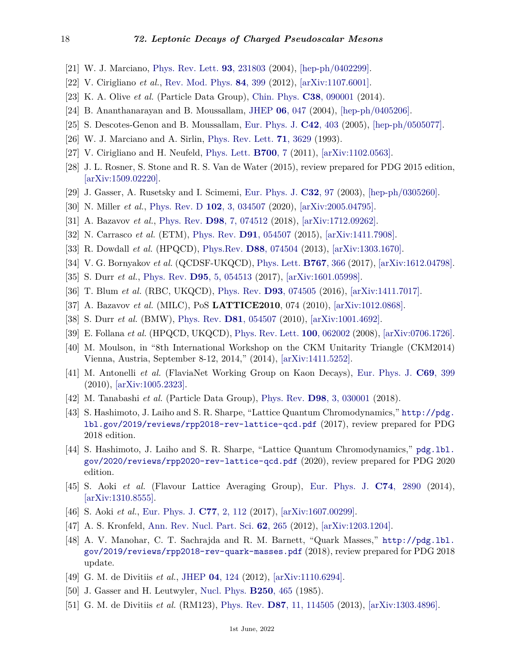- <span id="page-17-0"></span>[21] W. J. Marciano, [Phys. Rev. Lett.](http://doi.org/10.1103/PhysRevLett.93.231803) **93**[, 231803](http://doi.org/10.1103/PhysRevLett.93.231803) (2004), [\[hep-ph/0402299\].](https://arxiv.org/abs/hep-ph/0402299)
- <span id="page-17-1"></span>[22] V. Cirigliano *et al.*, [Rev. Mod. Phys.](http://doi.org/10.1103/RevModPhys.84.399) **84**[, 399](http://doi.org/10.1103/RevModPhys.84.399) (2012), [\[arXiv:1107.6001\].](https://arxiv.org/abs/1107.6001)
- <span id="page-17-2"></span>[23] K. A. Olive *et al.* (Particle Data Group), [Chin. Phys.](http://doi.org/10.1088/1674-1137/38/9/090001) **C38**[, 090001](http://doi.org/10.1088/1674-1137/38/9/090001) (2014).
- <span id="page-17-3"></span>[24] B. Ananthanarayan and B. Moussallam, [JHEP](http://doi.org/10.1088/1126-6708/2004/06/047) **06**[, 047](http://doi.org/10.1088/1126-6708/2004/06/047) (2004), [\[hep-ph/0405206\].](https://arxiv.org/abs/hep-ph/0405206)
- <span id="page-17-4"></span>[25] S. Descotes-Genon and B. Moussallam, [Eur. Phys. J.](http://doi.org/10.1140/epjc/s2005-02316-8) **C42**[, 403](http://doi.org/10.1140/epjc/s2005-02316-8) (2005), [\[hep-ph/0505077\].](https://arxiv.org/abs/hep-ph/0505077)
- <span id="page-17-9"></span>[26] W. J. Marciano and A. Sirlin, [Phys. Rev. Lett.](http://doi.org/10.1103/PhysRevLett.71.3629) **71**[, 3629](http://doi.org/10.1103/PhysRevLett.71.3629) (1993).
- <span id="page-17-5"></span>[27] V. Cirigliano and H. Neufeld, [Phys. Lett.](http://doi.org/10.1016/j.physletb.2011.04.038) **[B700](http://doi.org/10.1016/j.physletb.2011.04.038)**, 7 (2011), [\[arXiv:1102.0563\].](https://arxiv.org/abs/1102.0563)
- <span id="page-17-6"></span>[28] J. L. Rosner, S. Stone and R. S. Van de Water (2015), review prepared for PDG 2015 edition, [\[arXiv:1509.02220\].](https://arxiv.org/abs/1509.02220)
- <span id="page-17-7"></span>[29] J. Gasser, A. Rusetsky and I. Scimemi, [Eur. Phys. J.](http://doi.org/10.1140/epjc/s2003-01383-1) **[C32](http://doi.org/10.1140/epjc/s2003-01383-1)**, 97 (2003), [\[hep-ph/0305260\].](https://arxiv.org/abs/hep-ph/0305260)
- <span id="page-17-10"></span>[30] N. Miller *et al.*, [Phys. Rev. D](http://doi.org/10.1103/PhysRevD.102.034507) **102**[, 3, 034507](http://doi.org/10.1103/PhysRevD.102.034507) (2020), [\[arXiv:2005.04795\].](https://arxiv.org/abs/2005.04795)
- <span id="page-17-11"></span>[31] A. Bazavov *et al.*, [Phys. Rev.](http://doi.org/10.1103/PhysRevD.98.074512) **D98**[, 7, 074512](http://doi.org/10.1103/PhysRevD.98.074512) (2018), [\[arXiv:1712.09262\].](https://arxiv.org/abs/1712.09262)
- <span id="page-17-12"></span>[32] N. Carrasco *et al.* (ETM), [Phys. Rev.](http://doi.org/10.1103/PhysRevD.91.054507) **D91**[, 054507](http://doi.org/10.1103/PhysRevD.91.054507) (2015), [\[arXiv:1411.7908\].](https://arxiv.org/abs/1411.7908)
- <span id="page-17-13"></span>[33] R. Dowdall *et al.* (HPQCD), [Phys.Rev.](http://doi.org/10.1103/PhysRevD.88.074504) **D88**[, 074504](http://doi.org/10.1103/PhysRevD.88.074504) (2013), [\[arXiv:1303.1670\].](https://arxiv.org/abs/1303.1670)
- <span id="page-17-14"></span>[34] V. G. Bornyakov *et al.* (QCDSF-UKQCD), [Phys. Lett.](http://doi.org/10.1016/j.physletb.2017.02.018) **[B767](http://doi.org/10.1016/j.physletb.2017.02.018)**, 366 (2017), [\[arXiv:1612.04798\].](https://arxiv.org/abs/1612.04798)
- <span id="page-17-15"></span>[35] S. Durr *et al.*, [Phys. Rev.](http://doi.org/10.1103/PhysRevD.95.054513) **D95**[, 5, 054513](http://doi.org/10.1103/PhysRevD.95.054513) (2017), [\[arXiv:1601.05998\].](https://arxiv.org/abs/1601.05998)
- <span id="page-17-16"></span>[36] T. Blum *et al.* (RBC, UKQCD), [Phys. Rev.](http://doi.org/10.1103/PhysRevD.93.074505) **D93**[, 074505](http://doi.org/10.1103/PhysRevD.93.074505) (2016), [\[arXiv:1411.7017\].](https://arxiv.org/abs/1411.7017)
- <span id="page-17-17"></span>[37] A. Bazavov *et al.* (MILC), PoS **LATTICE2010**, 074 (2010), [\[arXiv:1012.0868\].](https://arxiv.org/abs/1012.0868)
- <span id="page-17-18"></span>[38] S. Durr *et al.* (BMW), [Phys. Rev.](http://doi.org/10.1103/PhysRevD.81.054507) **D81**[, 054507](http://doi.org/10.1103/PhysRevD.81.054507) (2010), [\[arXiv:1001.4692\].](https://arxiv.org/abs/1001.4692)
- <span id="page-17-19"></span>[39] E. Follana *et al.* (HPQCD, UKQCD), [Phys. Rev. Lett.](http://doi.org/10.1103/PhysRevLett.100.062002) **100**[, 062002](http://doi.org/10.1103/PhysRevLett.100.062002) (2008), [\[arXiv:0706.1726\].](https://arxiv.org/abs/0706.1726)
- <span id="page-17-8"></span>[40] M. Moulson, in "8th International Workshop on the CKM Unitarity Triangle (CKM2014) Vienna, Austria, September 8-12, 2014," (2014), [\[arXiv:1411.5252\].](https://arxiv.org/abs/1411.5252)
- <span id="page-17-20"></span>[41] M. Antonelli *et al.* (FlaviaNet Working Group on Kaon Decays), [Eur. Phys. J.](http://doi.org/10.1140/epjc/s10052-010-1406-3) **C69**[, 399](http://doi.org/10.1140/epjc/s10052-010-1406-3) (2010), [\[arXiv:1005.2323\].](https://arxiv.org/abs/1005.2323)
- <span id="page-17-21"></span>[42] M. Tanabashi *et al.* (Particle Data Group), [Phys. Rev.](http://doi.org/10.1103/PhysRevD.98.030001) **D98**[, 3, 030001](http://doi.org/10.1103/PhysRevD.98.030001) (2018).
- <span id="page-17-25"></span>[43] S. Hashimoto, J. Laiho and S. R. Sharpe, "Lattice Quantum Chromodynamics," [http://pdg.](http://pdg.lbl.gov/2019/reviews/rpp2018-rev-lattice-qcd.pdf) [lbl.gov/2019/reviews/rpp2018-rev-lattice-qcd.pdf](http://pdg.lbl.gov/2019/reviews/rpp2018-rev-lattice-qcd.pdf) (2017), review prepared for PDG 2018 edition.
- <span id="page-17-26"></span>[44] S. Hashimoto, J. Laiho and S. R. Sharpe, "Lattice Quantum Chromodynamics," [pdg.lbl.](pdg.lbl.gov/2020/reviews/rpp2020-rev-lattice-qcd.pdf) [gov/2020/reviews/rpp2020-rev-lattice-qcd.pdf](pdg.lbl.gov/2020/reviews/rpp2020-rev-lattice-qcd.pdf) (2020), review prepared for PDG 2020 edition.
- <span id="page-17-27"></span>[45] S. Aoki *et al.* (Flavour Lattice Averaging Group), [Eur. Phys. J.](http://doi.org/10.1140/epjc/s10052-014-2890-7) **C74**[, 2890](http://doi.org/10.1140/epjc/s10052-014-2890-7) (2014), [\[arXiv:1310.8555\].](https://arxiv.org/abs/1310.8555)
- <span id="page-17-28"></span>[46] S. Aoki *et al.*, [Eur. Phys. J.](http://doi.org/10.1140/epjc/s10052-016-4509-7) **C77**[, 2, 112](http://doi.org/10.1140/epjc/s10052-016-4509-7) (2017), [\[arXiv:1607.00299\].](https://arxiv.org/abs/1607.00299)
- <span id="page-17-29"></span>[47] A. S. Kronfeld, [Ann. Rev. Nucl. Part. Sci.](http://doi.org/10.1146/annurev-nucl-102711-094942) **62**[, 265](http://doi.org/10.1146/annurev-nucl-102711-094942) (2012), [\[arXiv:1203.1204\].](https://arxiv.org/abs/1203.1204)
- <span id="page-17-22"></span>[48] A. V. Manohar, C. T. Sachrajda and R. M. Barnett, "Quark Masses," [http://pdg.lbl.](http://pdg.lbl.gov/2019/reviews/rpp2018-rev-quark-masses.pdf) [gov/2019/reviews/rpp2018-rev-quark-masses.pdf](http://pdg.lbl.gov/2019/reviews/rpp2018-rev-quark-masses.pdf) (2018), review prepared for PDG 2018 update.
- <span id="page-17-23"></span>[49] G. M. de Divitiis *et al.*, [JHEP](http://doi.org/10.1007/JHEP04(2012)124) **04**[, 124](http://doi.org/10.1007/JHEP04(2012)124) (2012), [\[arXiv:1110.6294\].](https://arxiv.org/abs/1110.6294)
- <span id="page-17-24"></span>[50] J. Gasser and H. Leutwyler, [Nucl. Phys.](http://doi.org/10.1016/0550-3213(85)90492-4) **[B250](http://doi.org/10.1016/0550-3213(85)90492-4)**, 465 (1985).
- <span id="page-17-30"></span>[51] G. M. de Divitiis *et al.* (RM123), [Phys. Rev.](http://doi.org/10.1103/PhysRevD.87.114505) **D87**[, 11, 114505](http://doi.org/10.1103/PhysRevD.87.114505) (2013), [\[arXiv:1303.4896\].](https://arxiv.org/abs/1303.4896)

1st June, 2022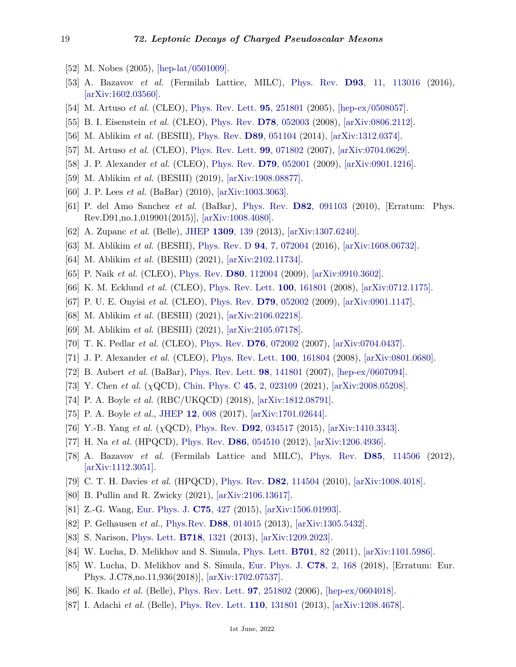- <span id="page-18-0"></span>[52] M. Nobes (2005), [\[hep-lat/0501009\].](https://arxiv.org/abs/hep-lat/0501009)
- <span id="page-18-1"></span>[53] A. Bazavov *et al.* (Fermilab Lattice, MILC), [Phys. Rev.](http://doi.org/10.1103/PhysRevD.93.113016) **D93**[, 11, 113016](http://doi.org/10.1103/PhysRevD.93.113016) (2016), [\[arXiv:1602.03560\].](https://arxiv.org/abs/1602.03560)
- <span id="page-18-2"></span>[54] M. Artuso *et al.* (CLEO), [Phys. Rev. Lett.](http://doi.org/10.1103/PhysRevLett.95.251801) **95**[, 251801](http://doi.org/10.1103/PhysRevLett.95.251801) (2005), [\[hep-ex/0508057\].](https://arxiv.org/abs/hep-ex/0508057)
- <span id="page-18-3"></span>[55] B. I. Eisenstein *et al.* (CLEO), [Phys. Rev.](http://doi.org/10.1103/PhysRevD.78.052003) **D78**[, 052003](http://doi.org/10.1103/PhysRevD.78.052003) (2008), [\[arXiv:0806.2112\].](https://arxiv.org/abs/0806.2112)
- <span id="page-18-4"></span>[56] M. Ablikim *et al.* (BESIII), [Phys. Rev.](http://doi.org/10.1103/PhysRevD.89.051104) **D89**[, 051104](http://doi.org/10.1103/PhysRevD.89.051104) (2014), [\[arXiv:1312.0374\].](https://arxiv.org/abs/1312.0374)
- <span id="page-18-5"></span>[57] M. Artuso *et al.* (CLEO), [Phys. Rev. Lett.](http://doi.org/10.1103/PhysRevLett.99.071802) **99**[, 071802](http://doi.org/10.1103/PhysRevLett.99.071802) (2007), [\[arXiv:0704.0629\].](https://arxiv.org/abs/0704.0629)
- <span id="page-18-6"></span>[58] J. P. Alexander *et al.* (CLEO), [Phys. Rev.](http://doi.org/10.1103/PhysRevD.79.052001) **D79**[, 052001](http://doi.org/10.1103/PhysRevD.79.052001) (2009), [\[arXiv:0901.1216\].](https://arxiv.org/abs/0901.1216)
- <span id="page-18-7"></span>[59] M. Ablikim *et al.* (BESIII) (2019), [\[arXiv:1908.08877\].](https://arxiv.org/abs/1908.08877)
- <span id="page-18-17"></span>[60] J. P. Lees *et al.* (BaBar) (2010), [\[arXiv:1003.3063\].](https://arxiv.org/abs/1003.3063)
- <span id="page-18-8"></span>[61] P. del Amo Sanchez *et al.* (BaBar), [Phys. Rev.](http://doi.org/10.1103/PhysRevD.82.091103) **D82**[, 091103](http://doi.org/10.1103/PhysRevD.82.091103) (2010), [Erratum: Phys. Rev.D91,no.1,019901(2015)], [\[arXiv:1008.4080\].](https://arxiv.org/abs/1008.4080)
- <span id="page-18-9"></span>[62] A. Zupanc *et al.* (Belle), [JHEP](http://doi.org/10.1007/JHEP09(2013)139) **[1309](http://doi.org/10.1007/JHEP09(2013)139)**, 139 (2013), [\[arXiv:1307.6240\].](https://arxiv.org/abs/1307.6240)
- <span id="page-18-10"></span>[63] M. Ablikim *et al.* (BESIII), [Phys. Rev. D](http://doi.org/10.1103/PhysRevD.94.072004) **94**[, 7, 072004](http://doi.org/10.1103/PhysRevD.94.072004) (2016), [\[arXiv:1608.06732\].](https://arxiv.org/abs/1608.06732)
- <span id="page-18-11"></span>[64] M. Ablikim *et al.* (BESIII) (2021), [\[arXiv:2102.11734\].](https://arxiv.org/abs/2102.11734)
- <span id="page-18-12"></span>[65] P. Naik *et al.* (CLEO), [Phys. Rev.](http://doi.org/10.1103/PhysRevD.80.112004) **D80**[, 112004](http://doi.org/10.1103/PhysRevD.80.112004) (2009), [\[arXiv:0910.3602\].](https://arxiv.org/abs/0910.3602)
- <span id="page-18-13"></span>[66] K. M. Ecklund *et al.* (CLEO), [Phys. Rev. Lett.](http://doi.org/10.1103/PhysRevLett.100.161801) **100**[, 161801](http://doi.org/10.1103/PhysRevLett.100.161801) (2008), [\[arXiv:0712.1175\].](https://arxiv.org/abs/0712.1175)
- <span id="page-18-14"></span>[67] P. U. E. Onyisi *et al.* (CLEO), [Phys. Rev.](http://doi.org/10.1103/PhysRevD.79.052002) **D79**[, 052002](http://doi.org/10.1103/PhysRevD.79.052002) (2009), [\[arXiv:0901.1147\].](https://arxiv.org/abs/0901.1147)
- <span id="page-18-15"></span>[68] M. Ablikim *et al.* (BESIII) (2021), [\[arXiv:2106.02218\].](https://arxiv.org/abs/2106.02218)
- <span id="page-18-16"></span>[69] M. Ablikim *et al.* (BESIII) (2021), [\[arXiv:2105.07178\].](https://arxiv.org/abs/2105.07178)
- <span id="page-18-18"></span>[70] T. K. Pedlar *et al.* (CLEO), [Phys. Rev.](http://doi.org/10.1103/PhysRevD.76.072002) **D76**[, 072002](http://doi.org/10.1103/PhysRevD.76.072002) (2007), [\[arXiv:0704.0437\].](https://arxiv.org/abs/0704.0437)
- <span id="page-18-19"></span>[71] J. P. Alexander *et al.* (CLEO), [Phys. Rev. Lett.](http://doi.org/10.1103/PhysRevLett.100.161804) **100**[, 161804](http://doi.org/10.1103/PhysRevLett.100.161804) (2008), [\[arXiv:0801.0680\].](https://arxiv.org/abs/0801.0680)
- <span id="page-18-20"></span>[72] B. Aubert *et al.* (BaBar), [Phys. Rev. Lett.](http://doi.org/10.1103/PhysRevLett.98.141801) **98**[, 141801](http://doi.org/10.1103/PhysRevLett.98.141801) (2007), [\[hep-ex/0607094\].](https://arxiv.org/abs/hep-ex/0607094)
- <span id="page-18-22"></span>[73] Y. Chen *et al.* (*χ*QCD), [Chin. Phys. C](http://doi.org/10.1088/1674-1137/abcd8f) **45**[, 2, 023109](http://doi.org/10.1088/1674-1137/abcd8f) (2021), [\[arXiv:2008.05208\].](https://arxiv.org/abs/2008.05208)
- <span id="page-18-23"></span>[74] P. A. Boyle *et al.* (RBC/UKQCD) (2018), [\[arXiv:1812.08791\].](https://arxiv.org/abs/1812.08791)
- <span id="page-18-24"></span>[75] P. A. Boyle *et al.*, [JHEP](http://doi.org/10.1007/JHEP12(2017)008) **12**[, 008](http://doi.org/10.1007/JHEP12(2017)008) (2017), [\[arXiv:1701.02644\].](https://arxiv.org/abs/1701.02644)
- <span id="page-18-25"></span>[76] Y.-B. Yang *et al.* (*χ*QCD), [Phys. Rev.](http://doi.org/10.1103/PhysRevD.92.034517) **D92**[, 034517](http://doi.org/10.1103/PhysRevD.92.034517) (2015), [\[arXiv:1410.3343\].](https://arxiv.org/abs/1410.3343)
- <span id="page-18-26"></span>[77] H. Na *et al.* (HPQCD), [Phys. Rev.](http://doi.org/10.1103/PhysRevD.86.054510) **D86**[, 054510](http://doi.org/10.1103/PhysRevD.86.054510) (2012), [\[arXiv:1206.4936\].](https://arxiv.org/abs/1206.4936)
- <span id="page-18-27"></span>[78] A. Bazavov *et al.* (Fermilab Lattice and MILC), [Phys. Rev.](http://doi.org/10.1103/PhysRevD.85.114506) **D85**[, 114506](http://doi.org/10.1103/PhysRevD.85.114506) (2012), [\[arXiv:1112.3051\].](https://arxiv.org/abs/1112.3051)
- <span id="page-18-28"></span>[79] C. T. H. Davies *et al.* (HPQCD), [Phys. Rev.](http://doi.org/10.1103/PhysRevD.82.114504) **D82**[, 114504](http://doi.org/10.1103/PhysRevD.82.114504) (2010), [\[arXiv:1008.4018\].](https://arxiv.org/abs/1008.4018)
- <span id="page-18-29"></span>[80] B. Pullin and R. Zwicky (2021), [\[arXiv:2106.13617\].](https://arxiv.org/abs/2106.13617)
- <span id="page-18-30"></span>[81] Z.-G. Wang, [Eur. Phys. J.](http://doi.org/10.1140/epjc/s10052-015-3653-9) **C75**[, 427](http://doi.org/10.1140/epjc/s10052-015-3653-9) (2015), [\[arXiv:1506.01993\].](https://arxiv.org/abs/1506.01993)
- <span id="page-18-31"></span>[82] P. Gelhausen *et al.*, [Phys.Rev.](http://doi.org/10.1103/PhysRevD.88.014015) **D88**[, 014015](http://doi.org/10.1103/PhysRevD.88.014015) (2013), [\[arXiv:1305.5432\].](https://arxiv.org/abs/1305.5432)
- <span id="page-18-32"></span>[83] S. Narison, [Phys. Lett.](http://doi.org/10.1016/j.physletb.2012.10.057) **B718**[, 1321](http://doi.org/10.1016/j.physletb.2012.10.057) (2013), [\[arXiv:1209.2023\].](https://arxiv.org/abs/1209.2023)
- <span id="page-18-33"></span>[84] W. Lucha, D. Melikhov and S. Simula, [Phys. Lett.](http://doi.org/10.1016/j.physletb.2011.05.031) **[B701](http://doi.org/10.1016/j.physletb.2011.05.031)**, 82 (2011), [\[arXiv:1101.5986\].](https://arxiv.org/abs/1101.5986)
- <span id="page-18-21"></span>[85] W. Lucha, D. Melikhov and S. Simula, [Eur. Phys. J.](http://doi.org/10.1140/epjc/s10052-018-5637-z) **C78**[, 2, 168](http://doi.org/10.1140/epjc/s10052-018-5637-z) (2018), [Erratum: Eur. Phys. J.C78,no.11,936(2018)], [\[arXiv:1702.07537\].](https://arxiv.org/abs/1702.07537)
- <span id="page-18-34"></span>[86] K. Ikado *et al.* (Belle), [Phys. Rev. Lett.](http://doi.org/10.1103/PhysRevLett.97.251802) **97**[, 251802](http://doi.org/10.1103/PhysRevLett.97.251802) (2006), [\[hep-ex/0604018\].](https://arxiv.org/abs/hep-ex/0604018)
- <span id="page-18-35"></span>[87] I. Adachi *et al.* (Belle), [Phys. Rev. Lett.](http://doi.org/10.1103/PhysRevLett.110.131801) **110**[, 131801](http://doi.org/10.1103/PhysRevLett.110.131801) (2013), [\[arXiv:1208.4678\].](https://arxiv.org/abs/1208.4678)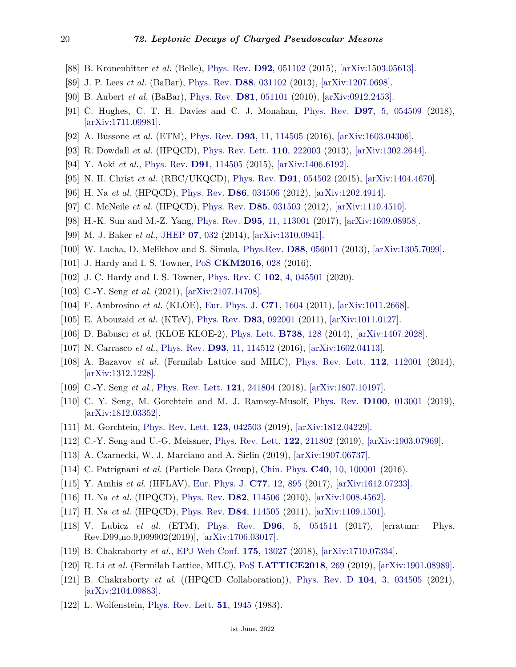- <span id="page-19-0"></span>[88] B. Kronenbitter *et al.* (Belle), [Phys. Rev.](http://doi.org/10.1103/PhysRevD.92.051102) **D92**[, 051102](http://doi.org/10.1103/PhysRevD.92.051102) (2015), [\[arXiv:1503.05613\].](https://arxiv.org/abs/1503.05613)
- <span id="page-19-1"></span>[89] J. P. Lees *et al.* (BaBar), [Phys. Rev.](http://doi.org/10.1103/PhysRevD.88.031102) **D88**[, 031102](http://doi.org/10.1103/PhysRevD.88.031102) (2013), [\[arXiv:1207.0698\].](https://arxiv.org/abs/1207.0698)
- <span id="page-19-2"></span>[90] B. Aubert *et al.* (BaBar), [Phys. Rev.](http://doi.org/10.1103/PhysRevD.81.051101) **D81**[, 051101](http://doi.org/10.1103/PhysRevD.81.051101) (2010), [\[arXiv:0912.2453\].](https://arxiv.org/abs/0912.2453)
- <span id="page-19-3"></span>[91] C. Hughes, C. T. H. Davies and C. J. Monahan, [Phys. Rev.](http://doi.org/10.1103/PhysRevD.97.054509) **D97**[, 5, 054509](http://doi.org/10.1103/PhysRevD.97.054509) (2018), [\[arXiv:1711.09981\].](https://arxiv.org/abs/1711.09981)
- <span id="page-19-4"></span>[92] A. Bussone *et al.* (ETM), [Phys. Rev.](http://doi.org/10.1103/PhysRevD.93.114505) **D93**[, 11, 114505](http://doi.org/10.1103/PhysRevD.93.114505) (2016), [\[arXiv:1603.04306\].](https://arxiv.org/abs/1603.04306)
- <span id="page-19-5"></span>[93] R. Dowdall *et al.* (HPQCD), [Phys. Rev. Lett.](http://doi.org/10.1103/PhysRevLett.110.222003) **110**[, 222003](http://doi.org/10.1103/PhysRevLett.110.222003) (2013), [\[arXiv:1302.2644\].](https://arxiv.org/abs/1302.2644)
- <span id="page-19-6"></span>[94] Y. Aoki *et al.*, [Phys. Rev.](http://doi.org/10.1103/PhysRevD.91.114505) **D91**[, 114505](http://doi.org/10.1103/PhysRevD.91.114505) (2015), [\[arXiv:1406.6192\].](https://arxiv.org/abs/1406.6192)
- <span id="page-19-7"></span>[95] N. H. Christ *et al.* (RBC/UKQCD), [Phys. Rev.](http://doi.org/10.1103/PhysRevD.91.054502) **D91**[, 054502](http://doi.org/10.1103/PhysRevD.91.054502) (2015), [\[arXiv:1404.4670\].](https://arxiv.org/abs/1404.4670)
- <span id="page-19-8"></span>[96] H. Na *et al.* (HPQCD), [Phys. Rev.](http://doi.org/10.1103/PhysRevD.86.034506) **D86**[, 034506](http://doi.org/10.1103/PhysRevD.86.034506) (2012), [\[arXiv:1202.4914\].](https://arxiv.org/abs/1202.4914)
- <span id="page-19-9"></span>[97] C. McNeile *et al.* (HPQCD), [Phys. Rev.](http://doi.org/10.1103/PhysRevD.85.031503) **D85**[, 031503](http://doi.org/10.1103/PhysRevD.85.031503) (2012), [\[arXiv:1110.4510\].](https://arxiv.org/abs/1110.4510)
- <span id="page-19-10"></span>[98] H.-K. Sun and M.-Z. Yang, [Phys. Rev.](http://doi.org/10.1103/PhysRevD.95.113001) **D95**[, 11, 113001](http://doi.org/10.1103/PhysRevD.95.113001) (2017), [\[arXiv:1609.08958\].](https://arxiv.org/abs/1609.08958)
- <span id="page-19-11"></span>[99] M. J. Baker *et al.*, [JHEP](http://doi.org/10.1007/JHEP07(2014)032) **07**[, 032](http://doi.org/10.1007/JHEP07(2014)032) (2014), [\[arXiv:1310.0941\].](https://arxiv.org/abs/1310.0941)
- <span id="page-19-12"></span>[100] W. Lucha, D. Melikhov and S. Simula, [Phys.Rev.](http://doi.org/10.1103/PhysRevD.88.056011) **D88**[, 056011](http://doi.org/10.1103/PhysRevD.88.056011) (2013), [\[arXiv:1305.7099\].](https://arxiv.org/abs/1305.7099)
- <span id="page-19-13"></span>[101] J. Hardy and I. S. Towner, [PoS](http://doi.org/10.22323/1.291.0028) **[CKM2016](http://doi.org/10.22323/1.291.0028)**, 028 (2016).
- <span id="page-19-14"></span>[102] J. C. Hardy and I. S. Towner, [Phys. Rev. C](http://doi.org/10.1103/PhysRevC.102.045501) **102**[, 4, 045501](http://doi.org/10.1103/PhysRevC.102.045501) (2020).
- <span id="page-19-15"></span>[103] C.-Y. Seng *et al.* (2021), [\[arXiv:2107.14708\].](https://arxiv.org/abs/2107.14708)
- <span id="page-19-21"></span>[104] F. Ambrosino *et al.* (KLOE), [Eur. Phys. J.](http://doi.org/10.1140/epjc/s10052-011-1604-7) **C71**[, 1604](http://doi.org/10.1140/epjc/s10052-011-1604-7) (2011), [\[arXiv:1011.2668\].](https://arxiv.org/abs/1011.2668)
- <span id="page-19-22"></span>[105] E. Abouzaid *et al.* (KTeV), [Phys. Rev.](http://doi.org/10.1103/PhysRevD.83.092001) **D83**[, 092001](http://doi.org/10.1103/PhysRevD.83.092001) (2011), [\[arXiv:1011.0127\].](https://arxiv.org/abs/1011.0127)
- <span id="page-19-23"></span>[106] D. Babusci *et al.* (KLOE KLOE-2), [Phys. Lett.](http://doi.org/10.1016/j.physletb.2014.09.033) **[B738](http://doi.org/10.1016/j.physletb.2014.09.033)**, 128 (2014), [\[arXiv:1407.2028\].](https://arxiv.org/abs/1407.2028)
- <span id="page-19-16"></span>[107] N. Carrasco *et al.*, [Phys. Rev.](http://doi.org/10.1103/PhysRevD.93.114512) **D93**[, 11, 114512](http://doi.org/10.1103/PhysRevD.93.114512) (2016), [\[arXiv:1602.04113\].](https://arxiv.org/abs/1602.04113)
- <span id="page-19-17"></span>[108] A. Bazavov *et al.* (Fermilab Lattice and MILC), [Phys. Rev. Lett.](http://doi.org/10.1103/PhysRevLett.112.112001) **112**[, 112001](http://doi.org/10.1103/PhysRevLett.112.112001) (2014), [\[arXiv:1312.1228\].](https://arxiv.org/abs/1312.1228)
- <span id="page-19-18"></span>[109] C.-Y. Seng *et al.*, [Phys. Rev. Lett.](http://doi.org/10.1103/PhysRevLett.121.241804) **121**[, 241804](http://doi.org/10.1103/PhysRevLett.121.241804) (2018), [\[arXiv:1807.10197\].](https://arxiv.org/abs/1807.10197)
- [110] C. Y. Seng, M. Gorchtein and M. J. Ramsey-Musolf, [Phys. Rev.](http://doi.org/10.1103/PhysRevD.100.013001) **D100**[, 013001](http://doi.org/10.1103/PhysRevD.100.013001) (2019), [\[arXiv:1812.03352\].](https://arxiv.org/abs/1812.03352)
- [111] M. Gorchtein, [Phys. Rev. Lett.](http://doi.org/10.1103/PhysRevLett.123.042503) **123**[, 042503](http://doi.org/10.1103/PhysRevLett.123.042503) (2019), [\[arXiv:1812.04229\].](https://arxiv.org/abs/1812.04229)
- <span id="page-19-19"></span>[112] C.-Y. Seng and U.-G. Meissner, [Phys. Rev. Lett.](http://doi.org/10.1103/PhysRevLett.122.211802) **122**[, 211802](http://doi.org/10.1103/PhysRevLett.122.211802) (2019), [\[arXiv:1903.07969\].](https://arxiv.org/abs/1903.07969)
- <span id="page-19-20"></span>[113] A. Czarnecki, W. J. Marciano and A. Sirlin (2019), [\[arXiv:1907.06737\].](https://arxiv.org/abs/1907.06737)
- <span id="page-19-24"></span>[114] C. Patrignani *et al.* (Particle Data Group), [Chin. Phys.](http://doi.org/10.1088/1674-1137/40/10/100001) **C40**[, 10, 100001](http://doi.org/10.1088/1674-1137/40/10/100001) (2016).
- <span id="page-19-25"></span>[115] Y. Amhis *et al.* (HFLAV), [Eur. Phys. J.](http://doi.org/10.1140/epjc/s10052-017-5058-4) **C77**[, 12, 895](http://doi.org/10.1140/epjc/s10052-017-5058-4) (2017), [\[arXiv:1612.07233\].](https://arxiv.org/abs/1612.07233)
- <span id="page-19-26"></span>[116] H. Na *et al.* (HPQCD), [Phys. Rev.](http://doi.org/10.1103/PhysRevD.82.114506) **D82**[, 114506](http://doi.org/10.1103/PhysRevD.82.114506) (2010), [\[arXiv:1008.4562\].](https://arxiv.org/abs/1008.4562)
- <span id="page-19-27"></span>[117] H. Na *et al.* (HPQCD), [Phys. Rev.](http://doi.org/10.1103/PhysRevD.84.114505) **D84**[, 114505](http://doi.org/10.1103/PhysRevD.84.114505) (2011), [\[arXiv:1109.1501\].](https://arxiv.org/abs/1109.1501)
- <span id="page-19-28"></span>[118] V. Lubicz *et al.* (ETM), [Phys. Rev.](http://doi.org/10.1103/PhysRevD.96.054514) **D96**[, 5, 054514](http://doi.org/10.1103/PhysRevD.96.054514) (2017), [erratum: Phys. Rev.D99,no.9,099902(2019)], [\[arXiv:1706.03017\].](https://arxiv.org/abs/1706.03017)
- <span id="page-19-29"></span>[119] B. Chakraborty *et al.*, [EPJ Web Conf.](http://doi.org/10.1051/epjconf/201817513027) **175**[, 13027](http://doi.org/10.1051/epjconf/201817513027) (2018), [\[arXiv:1710.07334\].](https://arxiv.org/abs/1710.07334)
- <span id="page-19-30"></span>[120] R. Li *et al.* (Fermilab Lattice, MILC), [PoS](http://doi.org/10.22323/1.334.0269) **[LATTICE2018](http://doi.org/10.22323/1.334.0269)**, 269 (2019), [\[arXiv:1901.08989\].](https://arxiv.org/abs/1901.08989)
- <span id="page-19-31"></span>[121] B. Chakraborty *et al.* ((HPQCD Collaboration)), [Phys. Rev. D](http://doi.org/10.1103/PhysRevD.104.034505) **104**[, 3, 034505](http://doi.org/10.1103/PhysRevD.104.034505) (2021), [\[arXiv:2104.09883\].](https://arxiv.org/abs/2104.09883)
- <span id="page-19-32"></span>[122] L. Wolfenstein, [Phys. Rev. Lett.](http://doi.org/10.1103/PhysRevLett.51.1945) **51**[, 1945](http://doi.org/10.1103/PhysRevLett.51.1945) (1983).